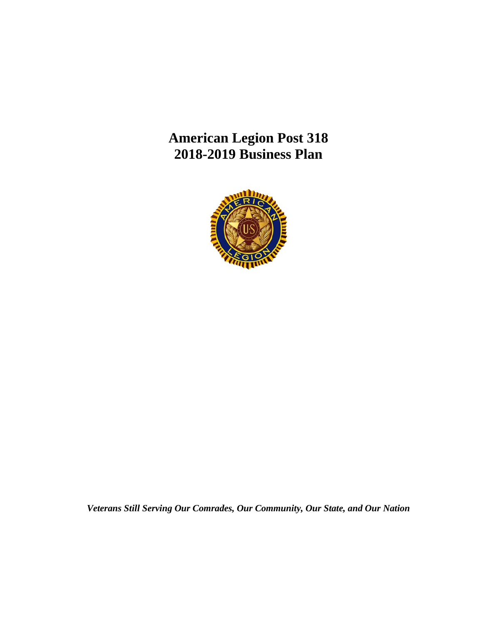**American Legion Post 318 2018-2019 Business Plan**



*Veterans Still Serving Our Comrades, Our Community, Our State, and Our Nation*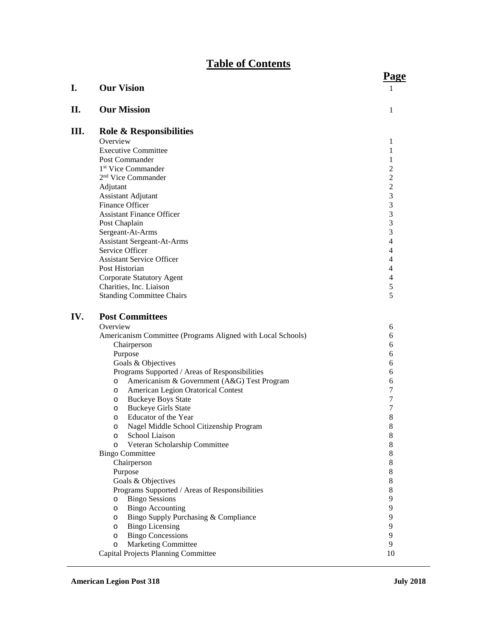# **Table of Contents**

|     |                                                                            | <u>i agu</u>   |
|-----|----------------------------------------------------------------------------|----------------|
| I.  | <b>Our Vision</b>                                                          | 1              |
| П.  | <b>Our Mission</b>                                                         | 1              |
| Ш.  | <b>Role &amp; Responsibilities</b>                                         |                |
|     | Overview                                                                   | 1              |
|     | <b>Executive Committee</b>                                                 | 1              |
|     | Post Commander                                                             | 1              |
|     | 1 <sup>st</sup> Vice Commander                                             | $\overline{c}$ |
|     | 2 <sup>nd</sup> Vice Commander                                             | $\overline{c}$ |
|     | Adjutant                                                                   | $\overline{2}$ |
|     | Assistant Adjutant                                                         | 3              |
|     | Finance Officer                                                            | 3              |
|     | <b>Assistant Finance Officer</b>                                           | 3              |
|     | Post Chaplain<br>Sergeant-At-Arms                                          | 3<br>3         |
|     | <b>Assistant Sergeant-At-Arms</b>                                          | 4              |
|     | Service Officer                                                            | 4              |
|     | <b>Assistant Service Officer</b>                                           | 4              |
|     | Post Historian                                                             | $\overline{4}$ |
|     | Corporate Statutory Agent                                                  | $\overline{4}$ |
|     | Charities, Inc. Liaison                                                    | 5              |
|     | <b>Standing Committee Chairs</b>                                           | 5              |
| IV. | <b>Post Committees</b>                                                     |                |
|     | Overview                                                                   | 6              |
|     | Americanism Committee (Programs Aligned with Local Schools)                | 6              |
|     | Chairperson                                                                | 6              |
|     | Purpose                                                                    | 6              |
|     | Goals & Objectives                                                         | 6              |
|     | Programs Supported / Areas of Responsibilities                             | 6              |
|     | Americanism & Government (A&G) Test Program<br>O                           | 6              |
|     | American Legion Oratorical Contest<br>$\circ$                              | 7              |
|     | <b>Buckeye Boys State</b><br>$\circ$                                       | 7              |
|     | <b>Buckeye Girls State</b><br>$\circ$                                      | 7              |
|     | Educator of the Year<br>$\circ$                                            | 8              |
|     | Nagel Middle School Citizenship Program<br>O                               | 8              |
|     | School Liaison<br>O                                                        | 8              |
|     | Veteran Scholarship Committee<br>O                                         | 8              |
|     | <b>Bingo Committee</b>                                                     | 8              |
|     | Chairperson                                                                | 8              |
|     | Purpose                                                                    | 8              |
|     | Goals & Objectives                                                         | $8\,$          |
|     | Programs Supported / Areas of Responsibilities                             | $8\,$          |
|     | <b>Bingo Sessions</b><br>$\circ$                                           | 9              |
|     | <b>Bingo Accounting</b><br>$\circ$<br>Bingo Supply Purchasing & Compliance | 9<br>9         |
|     | $\circ$<br><b>Bingo Licensing</b>                                          | 9              |
|     | $\circ$<br><b>Bingo Concessions</b>                                        | 9              |
|     | $\circ$<br><b>Marketing Committee</b><br>$\circ$                           | 9              |
|     | Capital Projects Planning Committee                                        | 10             |
|     |                                                                            |                |

**Page**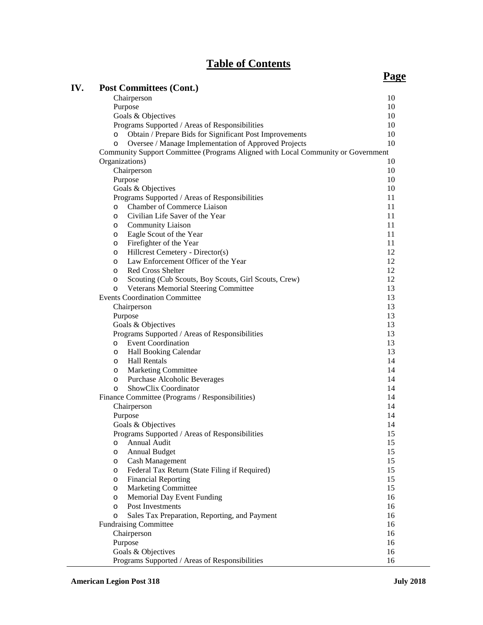# **Table of Contents**

# **Page**

| IV. | <b>Post Committees (Cont.)</b>                                                          |          |
|-----|-----------------------------------------------------------------------------------------|----------|
|     | Chairperson                                                                             | 10       |
|     | Purpose                                                                                 | 10       |
|     | Goals & Objectives                                                                      | 10       |
|     | Programs Supported / Areas of Responsibilities                                          | 10       |
|     | Obtain / Prepare Bids for Significant Post Improvements<br>$\circ$                      | 10       |
|     | Oversee / Manage Implementation of Approved Projects<br>$\circ$                         | 10       |
|     | Community Support Committee (Programs Aligned with Local Community or Government        |          |
|     | Organizations)                                                                          | 10       |
|     | Chairperson                                                                             | 10       |
|     | Purpose                                                                                 | 10       |
|     | Goals & Objectives                                                                      | 10       |
|     | Programs Supported / Areas of Responsibilities                                          | 11       |
|     | <b>Chamber of Commerce Liaison</b><br>$\circ$                                           | 11       |
|     | Civilian Life Saver of the Year<br>$\circ$                                              | 11       |
|     | <b>Community Liaison</b><br>$\circ$                                                     | 11       |
|     | Eagle Scout of the Year<br>$\circ$                                                      | 11       |
|     | Firefighter of the Year<br>$\circ$                                                      | 11       |
|     | Hillcrest Cemetery - Director(s)<br>$\circ$                                             | 12       |
|     | Law Enforcement Officer of the Year                                                     | 12       |
|     | $\circ$<br><b>Red Cross Shelter</b>                                                     | 12       |
|     | $\circ$                                                                                 | 12       |
|     | Scouting (Cub Scouts, Boy Scouts, Girl Scouts, Crew)<br>$\circ$                         |          |
|     | Veterans Memorial Steering Committee<br>$\circ$<br><b>Events Coordination Committee</b> | 13<br>13 |
|     |                                                                                         |          |
|     | Chairperson                                                                             | 13       |
|     | Purpose                                                                                 | 13<br>13 |
|     | Goals & Objectives                                                                      |          |
|     | Programs Supported / Areas of Responsibilities                                          | 13       |
|     | <b>Event Coordination</b><br>$\circ$                                                    | 13       |
|     | Hall Booking Calendar<br>$\circ$                                                        | 13       |
|     | <b>Hall Rentals</b><br>$\circ$                                                          | 14       |
|     | <b>Marketing Committee</b><br>$\circ$                                                   | 14       |
|     | Purchase Alcoholic Beverages<br>$\circ$                                                 | 14       |
|     | ShowClix Coordinator<br>$\circ$                                                         | 14       |
|     | Finance Committee (Programs / Responsibilities)                                         | 14       |
|     | Chairperson                                                                             | 14       |
|     | Purpose                                                                                 | 14       |
|     | Goals & Objectives                                                                      | 14       |
|     | Programs Supported / Areas of Responsibilities                                          | 15       |
|     | Annual Audit<br>O                                                                       | 15       |
|     | <b>Annual Budget</b><br>O                                                               | 15       |
|     | <b>Cash Management</b><br>$\circ$                                                       | 15       |
|     | Federal Tax Return (State Filing if Required)<br>$\circ$                                | 15       |
|     | <b>Financial Reporting</b><br>$\circ$                                                   | 15       |
|     | <b>Marketing Committee</b><br>$\circ$                                                   | 15       |
|     | Memorial Day Event Funding<br>$\circ$                                                   | 16       |
|     | Post Investments<br>$\circ$                                                             | 16       |
|     | Sales Tax Preparation, Reporting, and Payment<br>$\circ$                                | 16       |
|     | <b>Fundraising Committee</b>                                                            | 16       |
|     | Chairperson                                                                             | 16       |
|     | Purpose                                                                                 | 16       |
|     | Goals & Objectives                                                                      | 16       |
|     | Programs Supported / Areas of Responsibilities                                          | 16       |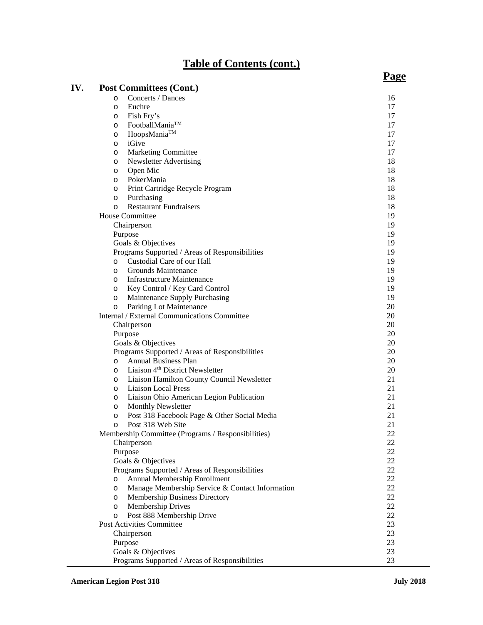# **Table of Contents (cont.)**

| IV. | <b>Post Committees (Cont.)</b>                             |        |
|-----|------------------------------------------------------------|--------|
|     | Concerts / Dances<br>$\circ$                               | 16     |
|     | Euchre<br>$\circ$                                          | 17     |
|     | Fish Fry's<br>$\circ$                                      | 17     |
|     | FootballMania <sup>TM</sup><br>$\circ$                     | 17     |
|     | HoopsMania™<br>$\circ$                                     | 17     |
|     | iGive<br>$\circ$                                           | 17     |
|     | Marketing Committee<br>$\circ$                             | 17     |
|     | Newsletter Advertising<br>$\circ$                          | 18     |
|     | Open Mic<br>$\circ$                                        | 18     |
|     | PokerMania<br>$\circ$                                      | 18     |
|     | Print Cartridge Recycle Program<br>$\circ$                 | 18     |
|     | Purchasing<br>$\circ$                                      | 18     |
|     | <b>Restaurant Fundraisers</b><br>$\circ$                   | 18     |
|     | <b>House Committee</b>                                     | 19     |
|     | Chairperson                                                | 19     |
|     | Purpose                                                    | 19     |
|     | Goals & Objectives                                         | 19     |
|     | Programs Supported / Areas of Responsibilities             | 19     |
|     | Custodial Care of our Hall<br>$\circ$                      | 19     |
|     | Grounds Maintenance<br>$\circ$                             | 19     |
|     | <b>Infrastructure Maintenance</b><br>$\circ$               | 19     |
|     | Key Control / Key Card Control<br>$\circ$                  | 19     |
|     | Maintenance Supply Purchasing<br>$\circ$                   | 19     |
|     | Parking Lot Maintenance<br>$\circ$                         | 20     |
|     | Internal / External Communications Committee               | 20     |
|     | Chairperson                                                | 20     |
|     | Purpose                                                    | 20     |
|     | Goals & Objectives                                         | 20     |
|     | Programs Supported / Areas of Responsibilities             | 20     |
|     | <b>Annual Business Plan</b><br>$\circ$                     | 20     |
|     | Liaison 4 <sup>th</sup> District Newsletter<br>$\circ$     | 20     |
|     | Liaison Hamilton County Council Newsletter<br>$\circ$      | 21     |
|     | <b>Liaison Local Press</b><br>$\circ$                      | 21     |
|     | Liaison Ohio American Legion Publication<br>$\circ$        | 21     |
|     | <b>Monthly Newsletter</b><br>$\circ$                       | 21     |
|     | Post 318 Facebook Page & Other Social Media<br>O           | 21     |
|     | Post 318 Web Site<br>O                                     | 21     |
|     | Membership Committee (Programs / Responsibilities)         | $22\,$ |
|     | Chairperson                                                | 22     |
|     | Purpose                                                    | 22     |
|     | Goals & Objectives                                         | 22     |
|     | Programs Supported / Areas of Responsibilities             | 22     |
|     | Annual Membership Enrollment<br>$\circ$                    | 22     |
|     | Manage Membership Service & Contact Information<br>$\circ$ | 22     |
|     | Membership Business Directory<br>$\circ$                   | 22     |
|     | Membership Drives<br>$\circ$                               | 22     |
|     | Post 888 Membership Drive<br>$\circ$                       | 22     |
|     | Post Activities Committee                                  | 23     |
|     | Chairperson                                                | 23     |
|     | Purpose                                                    | 23     |
|     | Goals & Objectives                                         | 23     |
|     | Programs Supported / Areas of Responsibilities             | 23     |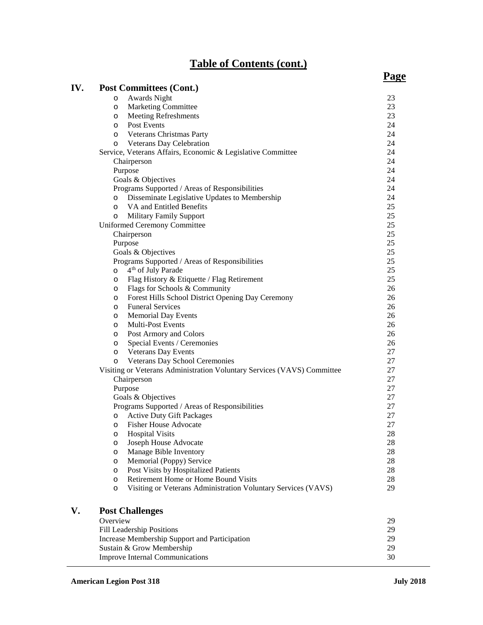# **Table of Contents (cont.)**

| IV. | <b>Post Committees (Cont.)</b>                                           | <u>. </u> |
|-----|--------------------------------------------------------------------------|-----------|
|     | Awards Night<br>O                                                        | 23        |
|     | <b>Marketing Committee</b><br>O                                          | 23        |
|     | <b>Meeting Refreshments</b><br>O                                         | 23        |
|     | Post Events<br>$\circ$                                                   | 24        |
|     | <b>Veterans Christmas Party</b><br>$\circ$                               | 24        |
|     | o Veterans Day Celebration                                               | 24        |
|     | Service, Veterans Affairs, Economic & Legislative Committee              | 24        |
|     | Chairperson                                                              | 24        |
|     | Purpose                                                                  | 24        |
|     | Goals & Objectives                                                       | 24        |
|     | Programs Supported / Areas of Responsibilities                           | 24        |
|     | Disseminate Legislative Updates to Membership<br>$\circ$                 | 24        |
|     | VA and Entitled Benefits<br>$\circ$                                      | 25        |
|     | <b>Military Family Support</b><br>O                                      | 25        |
|     | Uniformed Ceremony Committee                                             | 25        |
|     | Chairperson                                                              | 25        |
|     | Purpose                                                                  | 25        |
|     | Goals & Objectives                                                       | 25        |
|     | Programs Supported / Areas of Responsibilities                           | 25        |
|     | 4 <sup>th</sup> of July Parade<br>$\circ$                                | 25        |
|     | Flag History & Etiquette / Flag Retirement<br>$\circ$                    | 25        |
|     | Flags for Schools & Community<br>$\circ$                                 | 26        |
|     | Forest Hills School District Opening Day Ceremony<br>$\circ$             | 26        |
|     | <b>Funeral Services</b><br>$\circ$                                       | 26        |
|     | <b>Memorial Day Events</b><br>O                                          | 26        |
|     | <b>Multi-Post Events</b><br>$\circ$                                      | 26        |
|     | Post Armory and Colors<br>O                                              | 26        |
|     | Special Events / Ceremonies<br>$\circ$                                   | 26        |
|     | <b>Veterans Day Events</b><br>O                                          | 27        |
|     | Veterans Day School Ceremonies<br>$\circ$                                | 27        |
|     | Visiting or Veterans Administration Voluntary Services (VAVS) Committee  | 27        |
|     | Chairperson                                                              | 27        |
|     | Purpose                                                                  | 27        |
|     | Goals & Objectives                                                       | 27        |
|     | Programs Supported / Areas of Responsibilities                           | 27        |
|     | <b>Active Duty Gift Packages</b><br>$\circ$                              | 27        |
|     | <b>Fisher House Advocate</b><br>$\circ$                                  | 27        |
|     | <b>Hospital Visits</b><br>$\circ$                                        | $28\,$    |
|     | Joseph House Advocate<br>O                                               | 28        |
|     | Manage Bible Inventory<br>$\circ$                                        | 28        |
|     | Memorial (Poppy) Service<br>O                                            | 28        |
|     | Post Visits by Hospitalized Patients<br>$\circ$                          | 28        |
|     | Retirement Home or Home Bound Visits<br>$\circ$                          | 28        |
|     | Visiting or Veterans Administration Voluntary Services (VAVS)<br>$\circ$ | 29        |
| V.  | <b>Post Challenges</b>                                                   |           |
|     | Overview                                                                 | 29        |
|     | Fill Leadership Positions                                                | 29        |
|     | Increase Membership Support and Participation                            | 29        |
|     | Sustain & Grow Membership                                                | 29        |
|     | <b>Improve Internal Communications</b>                                   | 30        |

# **Page**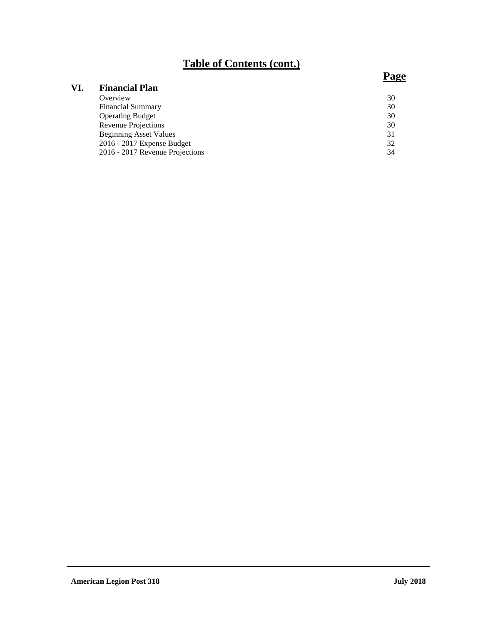# **Table of Contents (cont.)**

## **VI. Financial Plan** Overview 30 Financial Summary 30<br>
Operating Budget 30 Operating Budget Revenue Projections 30 Beginning Asset Values 31<br>
2016 - 2017 Expense Budget 32 2016 - 2017 Expense Budget 32<br>
2016 - 2017 Revenue Projections 34 2016 - 2017 Revenue Projections

## **Page**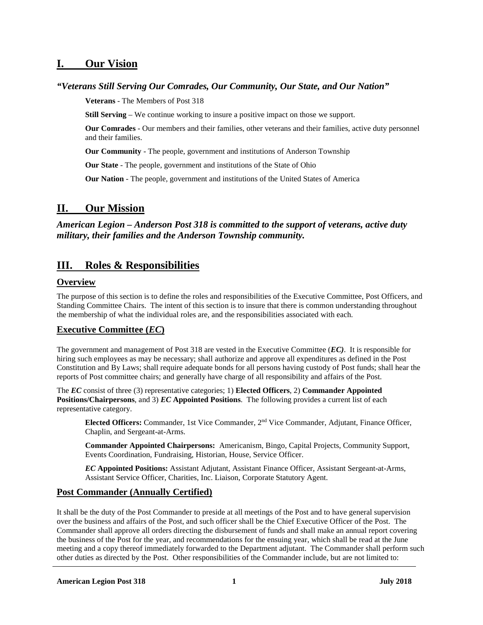## **I. Our Vision**

## *"Veterans Still Serving Our Comrades, Our Community, Our State, and Our Nation"*

**Veterans** - The Members of Post 318

**Still Serving** – We continue working to insure a positive impact on those we support.

**Our Comrades** - Our members and their families, other veterans and their families, active duty personnel and their families.

**Our Community** - The people, government and institutions of Anderson Township

**Our State** - The people, government and institutions of the State of Ohio

**Our Nation** - The people, government and institutions of the United States of America

## **II. Our Mission**

*American Legion – Anderson Post 318 is committed to the support of veterans, active duty military, their families and the Anderson Township community.*

## **III. Roles & Responsibilities**

## **Overview**

The purpose of this section is to define the roles and responsibilities of the Executive Committee, Post Officers, and Standing Committee Chairs. The intent of this section is to insure that there is common understanding throughout the membership of what the individual roles are, and the responsibilities associated with each.

## **Executive Committee (***EC***)**

The government and management of Post 318 are vested in the Executive Committee (*EC)*. It is responsible for hiring such employees as may be necessary; shall authorize and approve all expenditures as defined in the Post Constitution and By Laws; shall require adequate bonds for all persons having custody of Post funds; shall hear the reports of Post committee chairs; and generally have charge of all responsibility and affairs of the Post.

The *EC* consist of three (3) representative categories; 1) **Elected Officers**, 2) **Commander Appointed Positions/Chairpersons**, and 3) *EC* **Appointed Positions**. The following provides a current list of each representative category.

**Elected Officers:** Commander, 1st Vice Commander, 2nd Vice Commander, Adjutant, Finance Officer, Chaplin, and Sergeant-at-Arms.

**Commander Appointed Chairpersons:** Americanism, Bingo, Capital Projects, Community Support, Events Coordination, Fundraising, Historian, House, Service Officer.

*EC* **Appointed Positions:** Assistant Adjutant, Assistant Finance Officer, Assistant Sergeant-at-Arms, Assistant Service Officer, Charities, Inc. Liaison, Corporate Statutory Agent.

## **Post Commander (Annually Certified)**

It shall be the duty of the Post Commander to preside at all meetings of the Post and to have general supervision over the business and affairs of the Post, and such officer shall be the Chief Executive Officer of the Post. The Commander shall approve all orders directing the disbursement of funds and shall make an annual report covering the business of the Post for the year, and recommendations for the ensuing year, which shall be read at the June meeting and a copy thereof immediately forwarded to the Department adjutant. The Commander shall perform such other duties as directed by the Post. Other responsibilities of the Commander include, but are not limited to: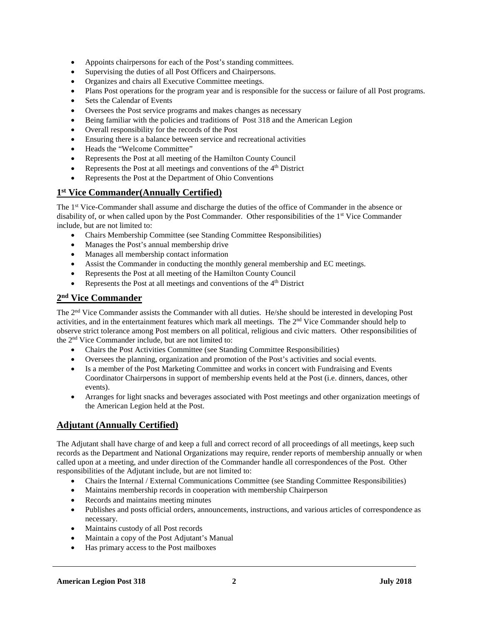- Appoints chairpersons for each of the Post's standing committees.
- Supervising the duties of all Post Officers and Chairpersons.
- Organizes and chairs all Executive Committee meetings.
- Plans Post operations for the program year and is responsible for the success or failure of all Post programs.
- Sets the Calendar of Events
- Oversees the Post service programs and makes changes as necessary
- Being familiar with the policies and traditions of Post 318 and the American Legion
- Overall responsibility for the records of the Post
- Ensuring there is a balance between service and recreational activities
- Heads the "Welcome Committee"
- Represents the Post at all meeting of the Hamilton County Council
- Represents the Post at all meetings and conventions of the  $4<sup>th</sup>$  District
- Represents the Post at the Department of Ohio Conventions

## **1st Vice Commander(Annually Certified)**

The 1st Vice-Commander shall assume and discharge the duties of the office of Commander in the absence or disability of, or when called upon by the Post Commander. Other responsibilities of the 1<sup>st</sup> Vice Commander include, but are not limited to:

- Chairs Membership Committee (see Standing Committee Responsibilities)
- Manages the Post's annual membership drive
- Manages all membership contact information
- Assist the Commander in conducting the monthly general membership and EC meetings.
- Represents the Post at all meeting of the Hamilton County Council
- Represents the Post at all meetings and conventions of the  $4<sup>th</sup>$  District

## **2nd Vice Commander**

The 2<sup>nd</sup> Vice Commander assists the Commander with all duties. He/she should be interested in developing Post activities, and in the entertainment features which mark all meetings. The 2nd Vice Commander should help to observe strict tolerance among Post members on all political, religious and civic matters. Other responsibilities of the 2nd Vice Commander include, but are not limited to:

- Chairs the Post Activities Committee (see Standing Committee Responsibilities)
- Oversees the planning, organization and promotion of the Post's activities and social events.
- Is a member of the Post Marketing Committee and works in concert with Fundraising and Events Coordinator Chairpersons in support of membership events held at the Post (i.e. dinners, dances, other events).
- Arranges for light snacks and beverages associated with Post meetings and other organization meetings of the American Legion held at the Post.

## **Adjutant (Annually Certified)**

The Adjutant shall have charge of and keep a full and correct record of all proceedings of all meetings, keep such records as the Department and National Organizations may require, render reports of membership annually or when called upon at a meeting, and under direction of the Commander handle all correspondences of the Post. Other responsibilities of the Adjutant include, but are not limited to:

- Chairs the Internal / External Communications Committee (see Standing Committee Responsibilities)
- Maintains membership records in cooperation with membership Chairperson
- Records and maintains meeting minutes
- Publishes and posts official orders, announcements, instructions, and various articles of correspondence as necessary.
- Maintains custody of all Post records
- Maintain a copy of the Post Adjutant's Manual
- Has primary access to the Post mailboxes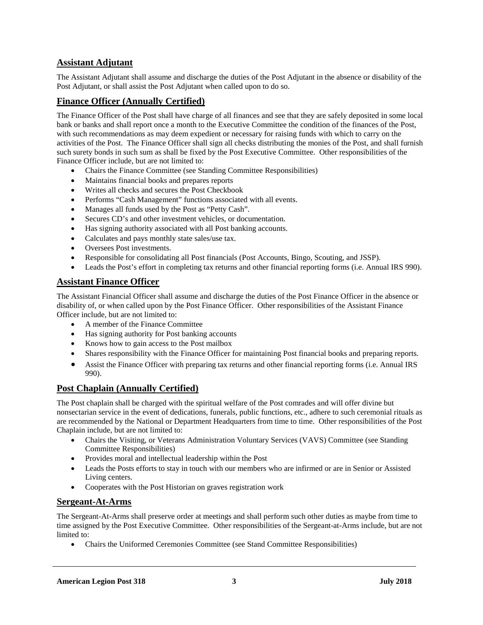## **Assistant Adjutant**

The Assistant Adjutant shall assume and discharge the duties of the Post Adjutant in the absence or disability of the Post Adjutant, or shall assist the Post Adjutant when called upon to do so.

## **Finance Officer (Annually Certified)**

The Finance Officer of the Post shall have charge of all finances and see that they are safely deposited in some local bank or banks and shall report once a month to the Executive Committee the condition of the finances of the Post, with such recommendations as may deem expedient or necessary for raising funds with which to carry on the activities of the Post. The Finance Officer shall sign all checks distributing the monies of the Post, and shall furnish such surety bonds in such sum as shall be fixed by the Post Executive Committee. Other responsibilities of the Finance Officer include, but are not limited to:

- Chairs the Finance Committee (see Standing Committee Responsibilities)
- Maintains financial books and prepares reports
- Writes all checks and secures the Post Checkbook
- Performs "Cash Management" functions associated with all events.
- Manages all funds used by the Post as "Petty Cash".
- Secures CD's and other investment vehicles, or documentation.
- Has signing authority associated with all Post banking accounts.
- Calculates and pays monthly state sales/use tax.
- Oversees Post investments.
- Responsible for consolidating all Post financials (Post Accounts, Bingo, Scouting, and JSSP).
- Leads the Post's effort in completing tax returns and other financial reporting forms (i.e. Annual IRS 990).

## **Assistant Finance Officer**

The Assistant Financial Officer shall assume and discharge the duties of the Post Finance Officer in the absence or disability of, or when called upon by the Post Finance Officer. Other responsibilities of the Assistant Finance Officer include, but are not limited to:

- A member of the Finance Committee
- Has signing authority for Post banking accounts
- Knows how to gain access to the Post mailbox
- Shares responsibility with the Finance Officer for maintaining Post financial books and preparing reports.
- Assist the Finance Officer with preparing tax returns and other financial reporting forms (i.e. Annual IRS 990).

## **Post Chaplain (Annually Certified)**

The Post chaplain shall be charged with the spiritual welfare of the Post comrades and will offer divine but nonsectarian service in the event of dedications, funerals, public functions, etc., adhere to such ceremonial rituals as are recommended by the National or Department Headquarters from time to time. Other responsibilities of the Post Chaplain include, but are not limited to:

- Chairs the Visiting, or Veterans Administration Voluntary Services (VAVS) Committee (see Standing Committee Responsibilities)
- Provides moral and intellectual leadership within the Post
- Leads the Posts efforts to stay in touch with our members who are infirmed or are in Senior or Assisted Living centers.
- Cooperates with the Post Historian on graves registration work

## **Sergeant-At-Arms**

The Sergeant-At-Arms shall preserve order at meetings and shall perform such other duties as maybe from time to time assigned by the Post Executive Committee. Other responsibilities of the Sergeant-at-Arms include, but are not limited to:

• Chairs the Uniformed Ceremonies Committee (see Stand Committee Responsibilities)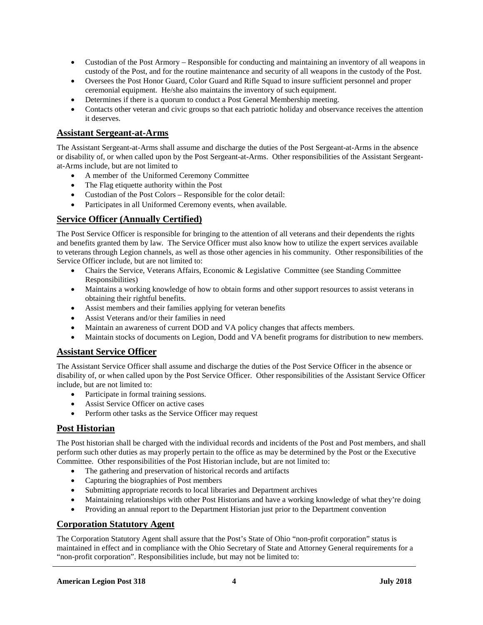- Custodian of the Post Armory Responsible for conducting and maintaining an inventory of all weapons in custody of the Post, and for the routine maintenance and security of all weapons in the custody of the Post.
- Oversees the Post Honor Guard, Color Guard and Rifle Squad to insure sufficient personnel and proper ceremonial equipment. He/she also maintains the inventory of such equipment.
- Determines if there is a quorum to conduct a Post General Membership meeting.
- Contacts other veteran and civic groups so that each patriotic holiday and observance receives the attention it deserves.

## **Assistant Sergeant-at-Arms**

The Assistant Sergeant-at-Arms shall assume and discharge the duties of the Post Sergeant-at-Arms in the absence or disability of, or when called upon by the Post Sergeant-at-Arms. Other responsibilities of the Assistant Sergeantat-Arms include, but are not limited to

- A member of the Uniformed Ceremony Committee
- The Flag etiquette authority within the Post
- Custodian of the Post Colors Responsible for the color detail:
- Participates in all Uniformed Ceremony events, when available.

## **Service Officer (Annually Certified)**

The Post Service Officer is responsible for bringing to the attention of all veterans and their dependents the rights and benefits granted them by law. The Service Officer must also know how to utilize the expert services available to veterans through Legion channels, as well as those other agencies in his community. Other responsibilities of the Service Officer include, but are not limited to:

- Chairs the Service, Veterans Affairs, Economic & Legislative Committee (see Standing Committee Responsibilities)
- Maintains a working knowledge of how to obtain forms and other support resources to assist veterans in obtaining their rightful benefits.
- Assist members and their families applying for veteran benefits
- Assist Veterans and/or their families in need
- Maintain an awareness of current DOD and VA policy changes that affects members.
- Maintain stocks of documents on Legion, Dodd and VA benefit programs for distribution to new members.

## **Assistant Service Officer**

The Assistant Service Officer shall assume and discharge the duties of the Post Service Officer in the absence or disability of, or when called upon by the Post Service Officer. Other responsibilities of the Assistant Service Officer include, but are not limited to:

- Participate in formal training sessions.
- Assist Service Officer on active cases
- Perform other tasks as the Service Officer may request

## **Post Historian**

The Post historian shall be charged with the individual records and incidents of the Post and Post members, and shall perform such other duties as may properly pertain to the office as may be determined by the Post or the Executive Committee. Other responsibilities of the Post Historian include, but are not limited to:

- The gathering and preservation of historical records and artifacts
- Capturing the biographies of Post members
- Submitting appropriate records to local libraries and Department archives
- Maintaining relationships with other Post Historians and have a working knowledge of what they're doing
- Providing an annual report to the Department Historian just prior to the Department convention

## **Corporation Statutory Agent**

The Corporation Statutory Agent shall assure that the Post's State of Ohio "non-profit corporation" status is maintained in effect and in compliance with the Ohio Secretary of State and Attorney General requirements for a "non-profit corporation". Responsibilities include, but may not be limited to: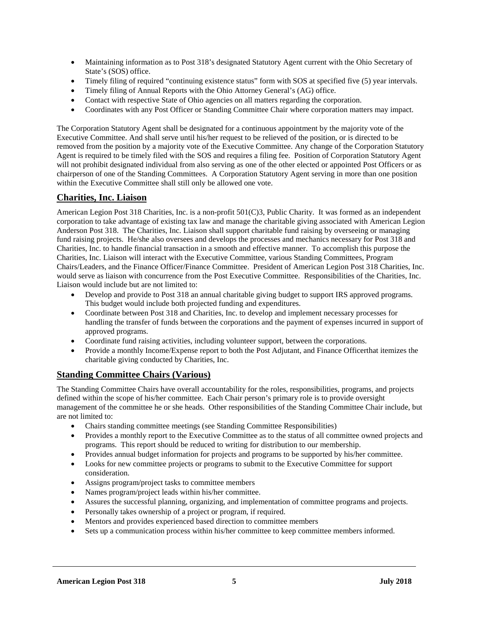- Maintaining information as to Post 318's designated Statutory Agent current with the Ohio Secretary of State's (SOS) office.
- Timely filing of required "continuing existence status" form with SOS at specified five (5) year intervals.
- Timely filing of Annual Reports with the Ohio Attorney General's (AG) office.
- Contact with respective State of Ohio agencies on all matters regarding the corporation.
- Coordinates with any Post Officer or Standing Committee Chair where corporation matters may impact.

The Corporation Statutory Agent shall be designated for a continuous appointment by the majority vote of the Executive Committee. And shall serve until his/her request to be relieved of the position, or is directed to be removed from the position by a majority vote of the Executive Committee. Any change of the Corporation Statutory Agent is required to be timely filed with the SOS and requires a filing fee. Position of Corporation Statutory Agent will not prohibit designated individual from also serving as one of the other elected or appointed Post Officers or as chairperson of one of the Standing Committees. A Corporation Statutory Agent serving in more than one position within the Executive Committee shall still only be allowed one vote.

## **Charities, Inc. Liaison**

American Legion Post 318 Charities, Inc. is a non-profit 501(C)3, Public Charity. It was formed as an independent corporation to take advantage of existing tax law and manage the charitable giving associated with American Legion Anderson Post 318. The Charities, Inc. Liaison shall support charitable fund raising by overseeing or managing fund raising projects. He/she also oversees and develops the processes and mechanics necessary for Post 318 and Charities, Inc. to handle financial transaction in a smooth and effective manner. To accomplish this purpose the Charities, Inc. Liaison will interact with the Executive Committee, various Standing Committees, Program Chairs/Leaders, and the Finance Officer/Finance Committee. President of American Legion Post 318 Charities, Inc. would serve as liaison with concurrence from the Post Executive Committee. Responsibilities of the Charities, Inc. Liaison would include but are not limited to:

- Develop and provide to Post 318 an annual charitable giving budget to support IRS approved programs. This budget would include both projected funding and expenditures.
- Coordinate between Post 318 and Charities, Inc. to develop and implement necessary processes for handling the transfer of funds between the corporations and the payment of expenses incurred in support of approved programs.
- Coordinate fund raising activities, including volunteer support, between the corporations.
- Provide a monthly Income/Expense report to both the Post Adjutant, and Finance Officerthat itemizes the charitable giving conducted by Charities, Inc.

## **Standing Committee Chairs (Various)**

The Standing Committee Chairs have overall accountability for the roles, responsibilities, programs, and projects defined within the scope of his/her committee. Each Chair person's primary role is to provide oversight management of the committee he or she heads. Other responsibilities of the Standing Committee Chair include, but are not limited to:

- Chairs standing committee meetings (see Standing Committee Responsibilities)
- Provides a monthly report to the Executive Committee as to the status of all committee owned projects and programs. This report should be reduced to writing for distribution to our membership.
- Provides annual budget information for projects and programs to be supported by his/her committee.
- Looks for new committee projects or programs to submit to the Executive Committee for support consideration.
- Assigns program/project tasks to committee members
- Names program/project leads within his/her committee.
- Assures the successful planning, organizing, and implementation of committee programs and projects.
- Personally takes ownership of a project or program, if required.
- Mentors and provides experienced based direction to committee members
- Sets up a communication process within his/her committee to keep committee members informed.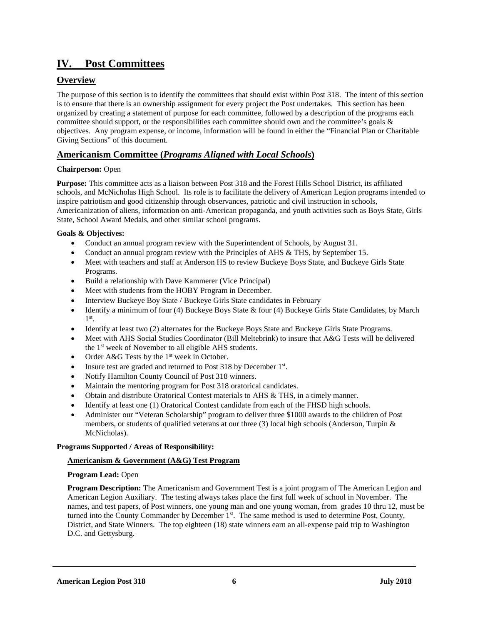## **IV. Post Committees**

## **Overview**

The purpose of this section is to identify the committees that should exist within Post 318. The intent of this section is to ensure that there is an ownership assignment for every project the Post undertakes. This section has been organized by creating a statement of purpose for each committee, followed by a description of the programs each committee should support, or the responsibilities each committee should own and the committee's goals  $\&$ objectives. Any program expense, or income, information will be found in either the "Financial Plan or Charitable Giving Sections" of this document.

## **Americanism Committee (***Programs Aligned with Local Schools***)**

## **Chairperson:** Open

**Purpose:** This committee acts as a liaison between Post 318 and the Forest Hills School District, its affiliated schools, and McNicholas High School. Its role is to facilitate the delivery of American Legion programs intended to inspire patriotism and good citizenship through observances, patriotic and civil instruction in schools, Americanization of aliens, information on anti-American propaganda, and youth activities such as Boys State, Girls State, School Award Medals, and other similar school programs.

## **Goals & Objectives:**

- Conduct an annual program review with the Superintendent of Schools, by August 31.
- Conduct an annual program review with the Principles of AHS & THS, by September 15.
- Meet with teachers and staff at Anderson HS to review Buckeye Boys State, and Buckeye Girls State Programs.
- Build a relationship with Dave Kammerer (Vice Principal)
- Meet with students from the HOBY Program in December.
- Interview Buckeye Boy State / Buckeye Girls State candidates in February
- Identify a minimum of four (4) Buckeye Boys State & four (4) Buckeye Girls State Candidates, by March 1st.
- Identify at least two (2) alternates for the Buckeye Boys State and Buckeye Girls State Programs.
- Meet with AHS Social Studies Coordinator (Bill Meltebrink) to insure that A&G Tests will be delivered the 1<sup>st</sup> week of November to all eligible AHS students.
- Order  $A&G$  Tests by the 1<sup>st</sup> week in October.
- Insure test are graded and returned to Post 318 by December 1st.
- Notify Hamilton County Council of Post 318 winners.
- Maintain the mentoring program for Post 318 oratorical candidates.
- Obtain and distribute Oratorical Contest materials to AHS & THS, in a timely manner.
- Identify at least one (1) Oratorical Contest candidate from each of the FHSD high schools.
- Administer our "Veteran Scholarship" program to deliver three \$1000 awards to the children of Post members, or students of qualified veterans at our three (3) local high schools (Anderson, Turpin & McNicholas).

## **Programs Supported / Areas of Responsibility:**

## **Americanism & Government (A&G) Test Program**

## **Program Lead:** Open

**Program Description:** The Americanism and Government Test is a joint program of The American Legion and American Legion Auxiliary. The testing always takes place the first full week of school in November. The names, and test papers, of Post winners, one young man and one young woman, from grades 10 thru 12, must be turned into the County Commander by December  $1<sup>st</sup>$ . The same method is used to determine Post, County, District, and State Winners. The top eighteen (18) state winners earn an all-expense paid trip to Washington D.C. and Gettysburg.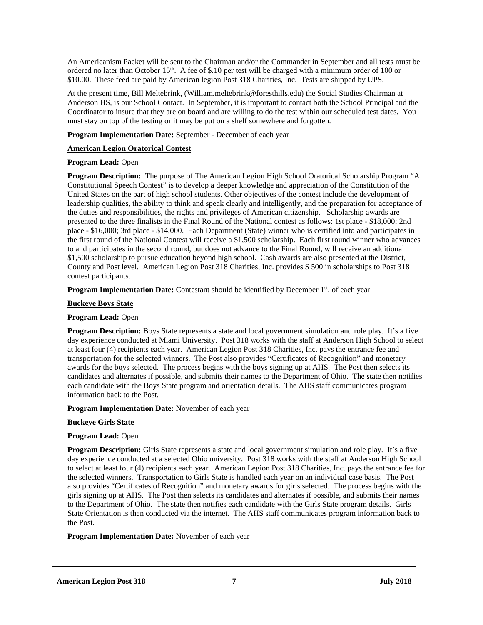An Americanism Packet will be sent to the Chairman and/or the Commander in September and all tests must be ordered no later than October  $15<sup>th</sup>$ . A fee of \$.10 per test will be charged with a minimum order of 100 or \$10.00. These feed are paid by American legion Post 318 Charities, Inc. Tests are shipped by UPS.

At the present time, Bill Meltebrink, (William.meltebrink@foresthills.edu) the Social Studies Chairman at Anderson HS, is our School Contact. In September, it is important to contact both the School Principal and the Coordinator to insure that they are on board and are willing to do the test within our scheduled test dates. You must stay on top of the testing or it may be put on a shelf somewhere and forgotten.

**Program Implementation Date:** September - December of each year

## **American Legion Oratorical Contest**

## **Program Lead:** Open

**Program Description:** The purpose of The American Legion High School Oratorical Scholarship Program "A Constitutional Speech Contest" is to develop a deeper knowledge and appreciation of the Constitution of the United States on the part of high school students. Other objectives of the contest include the development of leadership qualities, the ability to think and speak clearly and intelligently, and the preparation for acceptance of the duties and responsibilities, the rights and privileges of American citizenship. Scholarship awards are presented to the three finalists in the Final Round of the National contest as follows: 1st place - \$18,000; 2nd place - \$16,000; 3rd place - \$14,000. Each Department (State) winner who is certified into and participates in the first round of the National Contest will receive a \$1,500 scholarship. Each first round winner who advances to and participates in the second round, but does not advance to the Final Round, will receive an additional \$1,500 scholarship to pursue education beyond high school. Cash awards are also presented at the District, County and Post level. American Legion Post 318 Charities, Inc. provides \$ 500 in scholarships to Post 318 contest participants.

**Program Implementation Date:** Contestant should be identified by December 1<sup>st</sup>, of each year

## **Buckeye Boys State**

## **Program Lead:** Open

**Program Description:** Boys State represents a state and local government simulation and role play. It's a five day experience conducted at Miami University. Post 318 works with the staff at Anderson High School to select at least four (4) recipients each year. American Legion Post 318 Charities, Inc. pays the entrance fee and transportation for the selected winners. The Post also provides "Certificates of Recognition" and monetary awards for the boys selected. The process begins with the boys signing up at AHS. The Post then selects its candidates and alternates if possible, and submits their names to the Department of Ohio. The state then notifies each candidate with the Boys State program and orientation details. The AHS staff communicates program information back to the Post.

### **Program Implementation Date:** November of each year

### **Buckeye Girls State**

## **Program Lead:** Open

**Program Description:** Girls State represents a state and local government simulation and role play. It's a five day experience conducted at a selected Ohio university. Post 318 works with the staff at Anderson High School to select at least four (4) recipients each year. American Legion Post 318 Charities, Inc. pays the entrance fee for the selected winners. Transportation to Girls State is handled each year on an individual case basis. The Post also provides "Certificates of Recognition" and monetary awards for girls selected. The process begins with the girls signing up at AHS. The Post then selects its candidates and alternates if possible, and submits their names to the Department of Ohio. The state then notifies each candidate with the Girls State program details. Girls State Orientation is then conducted via the internet. The AHS staff communicates program information back to the Post.

## **Program Implementation Date:** November of each year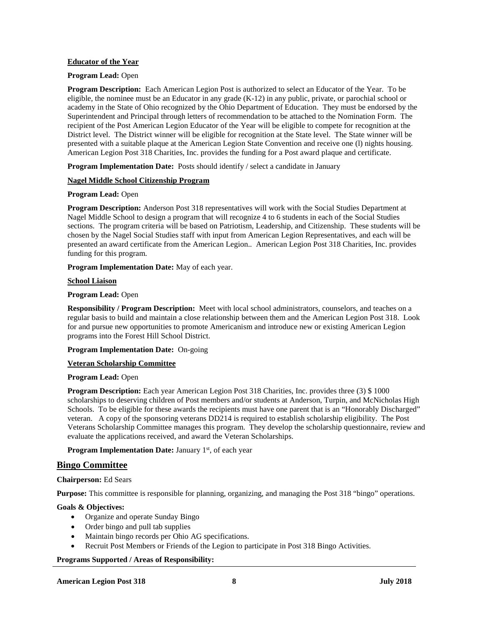## **Educator of the Year**

#### **Program Lead:** Open

**Program Description:** Each American Legion Post is authorized to select an Educator of the Year. To be eligible, the nominee must be an Educator in any grade (K-12) in any public, private, or parochial school or academy in the State of Ohio recognized by the Ohio Department of Education. They must be endorsed by the Superintendent and Principal through letters of recommendation to be attached to the Nomination Form. The recipient of the Post American Legion Educator of the Year will be eligible to compete for recognition at the District level. The District winner will be eligible for recognition at the State level. The State winner will be presented with a suitable plaque at the American Legion State Convention and receive one (l) nights housing. American Legion Post 318 Charities, Inc. provides the funding for a Post award plaque and certificate.

**Program Implementation Date:** Posts should identify / select a candidate in January

### **Nagel Middle School Citizenship Program**

#### **Program Lead:** Open

**Program Description:** Anderson Post 318 representatives will work with the Social Studies Department at Nagel Middle School to design a program that will recognize 4 to 6 students in each of the Social Studies sections. The program criteria will be based on Patriotism, Leadership, and Citizenship. These students will be chosen by the Nagel Social Studies staff with input from American Legion Representatives, and each will be presented an award certificate from the American Legion.. American Legion Post 318 Charities, Inc. provides funding for this program.

**Program Implementation Date:** May of each year.

#### **School Liaison**

#### **Program Lead:** Open

**Responsibility / Program Description:** Meet with local school administrators, counselors, and teaches on a regular basis to build and maintain a close relationship between them and the American Legion Post 318. Look for and pursue new opportunities to promote Americanism and introduce new or existing American Legion programs into the Forest Hill School District.

### **Program Implementation Date:** On-going

### **Veteran Scholarship Committee**

### **Program Lead:** Open

**Program Description:** Each year American Legion Post 318 Charities, Inc. provides three (3) \$ 1000 scholarships to deserving children of Post members and/or students at Anderson, Turpin, and McNicholas High Schools. To be eligible for these awards the recipients must have one parent that is an "Honorably Discharged" veteran. A copy of the sponsoring veterans DD214 is required to establish scholarship eligibility. The Post Veterans Scholarship Committee manages this program. They develop the scholarship questionnaire, review and evaluate the applications received, and award the Veteran Scholarships.

### **Program Implementation Date:** January 1<sup>st</sup>, of each year

### **Bingo Committee**

### **Chairperson:** Ed Sears

**Purpose:** This committee is responsible for planning, organizing, and managing the Post 318 "bingo" operations.

### **Goals & Objectives:**

- Organize and operate Sunday Bingo
- Order bingo and pull tab supplies
- Maintain bingo records per Ohio AG specifications.
- Recruit Post Members or Friends of the Legion to participate in Post 318 Bingo Activities.

### **Programs Supported / Areas of Responsibility:**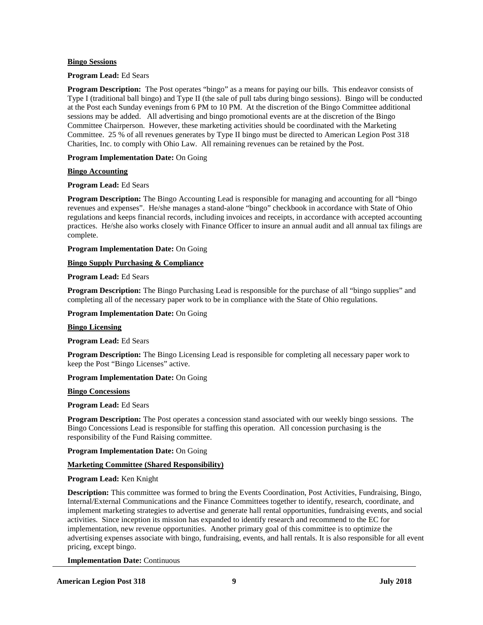## **Bingo Sessions**

### **Program Lead:** Ed Sears

**Program Description:** The Post operates "bingo" as a means for paying our bills. This endeavor consists of Type I (traditional ball bingo) and Type II (the sale of pull tabs during bingo sessions). Bingo will be conducted at the Post each Sunday evenings from 6 PM to 10 PM. At the discretion of the Bingo Committee additional sessions may be added. All advertising and bingo promotional events are at the discretion of the Bingo Committee Chairperson. However, these marketing activities should be coordinated with the Marketing Committee. 25 % of all revenues generates by Type II bingo must be directed to American Legion Post 318 Charities, Inc. to comply with Ohio Law. All remaining revenues can be retained by the Post.

## **Program Implementation Date:** On Going

## **Bingo Accounting**

## **Program Lead:** Ed Sears

**Program Description:** The Bingo Accounting Lead is responsible for managing and accounting for all "bingo revenues and expenses". He/she manages a stand-alone "bingo" checkbook in accordance with State of Ohio regulations and keeps financial records, including invoices and receipts, in accordance with accepted accounting practices. He/she also works closely with Finance Officer to insure an annual audit and all annual tax filings are complete.

**Program Implementation Date:** On Going

## **Bingo Supply Purchasing & Compliance**

## **Program Lead:** Ed Sears

**Program Description:** The Bingo Purchasing Lead is responsible for the purchase of all "bingo supplies" and completing all of the necessary paper work to be in compliance with the State of Ohio regulations.

### **Program Implementation Date:** On Going

### **Bingo Licensing**

## **Program Lead:** Ed Sears

**Program Description:** The Bingo Licensing Lead is responsible for completing all necessary paper work to keep the Post "Bingo Licenses" active.

## **Program Implementation Date:** On Going

### **Bingo Concessions**

### **Program Lead:** Ed Sears

**Program Description:** The Post operates a concession stand associated with our weekly bingo sessions. The Bingo Concessions Lead is responsible for staffing this operation. All concession purchasing is the responsibility of the Fund Raising committee.

### **Program Implementation Date:** On Going

## **Marketing Committee (Shared Responsibility)**

### **Program Lead:** Ken Knight

**Description:** This committee was formed to bring the Events Coordination, Post Activities, Fundraising, Bingo, Internal/External Communications and the Finance Committees together to identify, research, coordinate, and implement marketing strategies to advertise and generate hall rental opportunities, fundraising events, and social activities. Since inception its mission has expanded to identify research and recommend to the EC for implementation, new revenue opportunities. Another primary goal of this committee is to optimize the advertising expenses associate with bingo, fundraising, events, and hall rentals. It is also responsible for all event pricing, except bingo.

**Implementation Date:** Continuous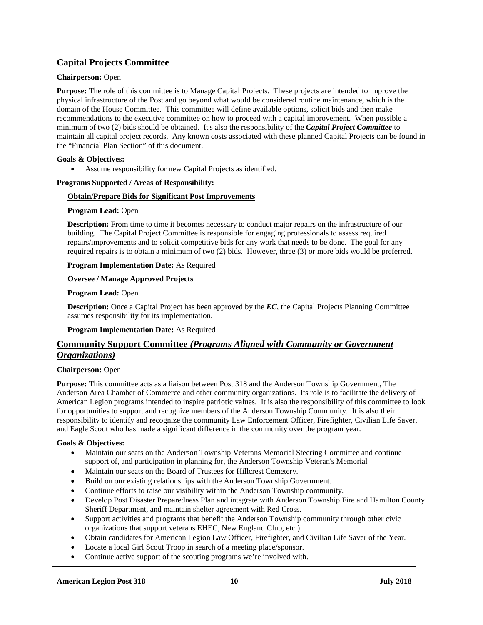## **Capital Projects Committee**

## **Chairperson:** Open

**Purpose:** The role of this committee is to Manage Capital Projects. These projects are intended to improve the physical infrastructure of the Post and go beyond what would be considered routine maintenance, which is the domain of the House Committee. This committee will define available options, solicit bids and then make recommendations to the executive committee on how to proceed with a capital improvement. When possible a minimum of two (2) bids should be obtained. It's also the responsibility of the *Capital Project Committee* to maintain all capital project records. Any known costs associated with these planned Capital Projects can be found in the "Financial Plan Section" of this document.

## **Goals & Objectives:**

• Assume responsibility for new Capital Projects as identified.

## **Programs Supported / Areas of Responsibility:**

## **Obtain/Prepare Bids for Significant Post Improvements**

## **Program Lead:** Open

**Description:** From time to time it becomes necessary to conduct major repairs on the infrastructure of our building. The Capital Project Committee is responsible for engaging professionals to assess required repairs/improvements and to solicit competitive bids for any work that needs to be done. The goal for any required repairs is to obtain a minimum of two (2) bids. However, three (3) or more bids would be preferred.

## **Program Implementation Date:** As Required

## **Oversee / Manage Approved Projects**

## **Program Lead:** Open

**Description:** Once a Capital Project has been approved by the *EC*, the Capital Projects Planning Committee assumes responsibility for its implementation.

**Program Implementation Date:** As Required

## **Community Support Committee** *(Programs Aligned with Community or Government Organizations)*

## **Chairperson:** Open

**Purpose:** This committee acts as a liaison between Post 318 and the Anderson Township Government, The Anderson Area Chamber of Commerce and other community organizations. Its role is to facilitate the delivery of American Legion programs intended to inspire patriotic values. It is also the responsibility of this committee to look for opportunities to support and recognize members of the Anderson Township Community. It is also their responsibility to identify and recognize the community Law Enforcement Officer, Firefighter, Civilian Life Saver, and Eagle Scout who has made a significant difference in the community over the program year.

## **Goals & Objectives:**

- Maintain our seats on the Anderson Township Veterans Memorial Steering Committee and continue support of, and participation in planning for, the Anderson Township Veteran's Memorial
- Maintain our seats on the Board of Trustees for Hillcrest Cemetery.
- Build on our existing relationships with the Anderson Township Government.
- Continue efforts to raise our visibility within the Anderson Township community.
- Develop Post Disaster Preparedness Plan and integrate with Anderson Township Fire and Hamilton County Sheriff Department, and maintain shelter agreement with Red Cross.
- Support activities and programs that benefit the Anderson Township community through other civic organizations that support veterans EHEC, New England Club, etc.).
- Obtain candidates for American Legion Law Officer, Firefighter, and Civilian Life Saver of the Year.
- Locate a local Girl Scout Troop in search of a meeting place/sponsor.
- Continue active support of the scouting programs we're involved with.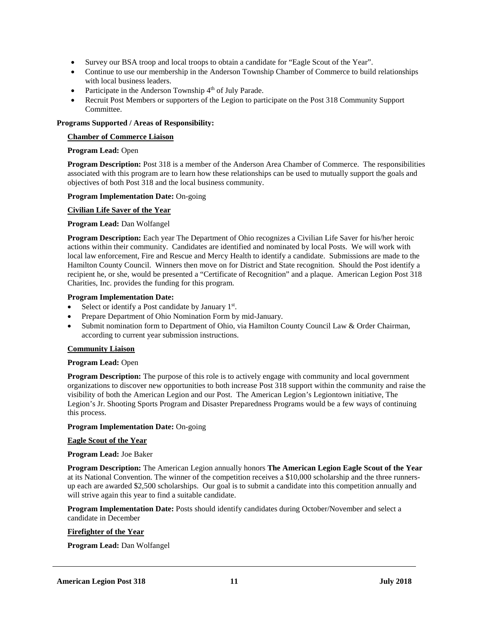- Survey our BSA troop and local troops to obtain a candidate for "Eagle Scout of the Year".
- Continue to use our membership in the Anderson Township Chamber of Commerce to build relationships with local business leaders.
- Participate in the Anderson Township  $4<sup>th</sup>$  of July Parade.
- Recruit Post Members or supporters of the Legion to participate on the Post 318 Community Support Committee.

## **Programs Supported / Areas of Responsibility:**

## **Chamber of Commerce Liaison**

## **Program Lead:** Open

**Program Description:** Post 318 is a member of the Anderson Area Chamber of Commerce. The responsibilities associated with this program are to learn how these relationships can be used to mutually support the goals and objectives of both Post 318 and the local business community.

## **Program Implementation Date:** On-going

## **Civilian Life Saver of the Year**

## **Program Lead:** Dan Wolfangel

**Program Description:** Each year The Department of Ohio recognizes a Civilian Life Saver for his/her heroic actions within their community. Candidates are identified and nominated by local Posts. We will work with local law enforcement, Fire and Rescue and Mercy Health to identify a candidate. Submissions are made to the Hamilton County Council. Winners then move on for District and State recognition. Should the Post identify a recipient he, or she, would be presented a "Certificate of Recognition" and a plaque. American Legion Post 318 Charities, Inc. provides the funding for this program.

## **Program Implementation Date:**

- Select or identify a Post candidate by January  $1<sup>st</sup>$ .
- Prepare Department of Ohio Nomination Form by mid-January.
- Submit nomination form to Department of Ohio, via Hamilton County Council Law & Order Chairman, according to current year submission instructions.

## **Community Liaison**

### **Program Lead:** Open

**Program Description:** The purpose of this role is to actively engage with community and local government organizations to discover new opportunities to both increase Post 318 support within the community and raise the visibility of both the American Legion and our Post. The American Legion's Legiontown initiative, The Legion's Jr. Shooting Sports Program and Disaster Preparedness Programs would be a few ways of continuing this process.

### **Program Implementation Date:** On-going

### **Eagle Scout of the Year**

### **Program Lead:** Joe Baker

**Program Description:** The American Legion annually honors **The American Legion Eagle Scout of the Year** at its National Convention. The winner of the competition receives a \$10,000 scholarship and the three runnersup each are awarded \$2,500 scholarships. Our goal is to submit a candidate into this competition annually and will strive again this year to find a suitable candidate.

**Program Implementation Date:** Posts should identify candidates during October/November and select a candidate in December

## **Firefighter of the Year**

**Program Lead:** Dan Wolfangel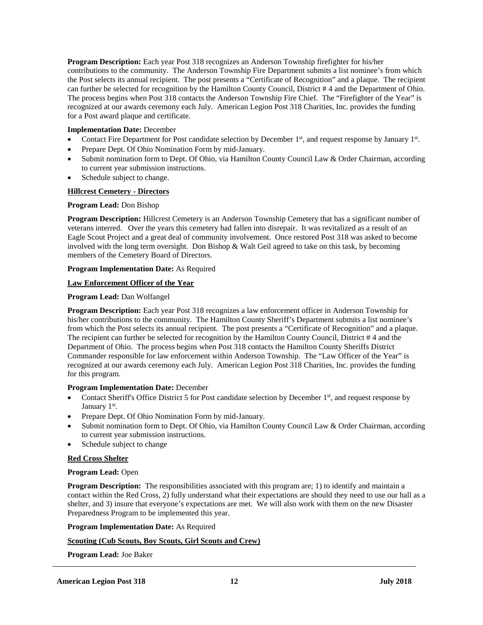**Program Description:** Each year Post 318 recognizes an Anderson Township firefighter for his/her contributions to the community. The Anderson Township Fire Department submits a list nominee's from which the Post selects its annual recipient. The post presents a "Certificate of Recognition" and a plaque. The recipient can further be selected for recognition by the Hamilton County Council, District # 4 and the Department of Ohio. The process begins when Post 318 contacts the Anderson Township Fire Chief. The "Firefighter of the Year" is recognized at our awards ceremony each July. American Legion Post 318 Charities, Inc. provides the funding for a Post award plaque and certificate.

## **Implementation Date:** December

- Contact Fire Department for Post candidate selection by December  $1<sup>st</sup>$ , and request response by January  $1<sup>st</sup>$ .
- Prepare Dept. Of Ohio Nomination Form by mid-January.
- Submit nomination form to Dept. Of Ohio, via Hamilton County Council Law & Order Chairman, according to current year submission instructions.
- Schedule subject to change.

## **Hillcrest Cemetery - Directors**

### **Program Lead:** Don Bishop

**Program Description:** Hillcrest Cemetery is an Anderson Township Cemetery that has a significant number of veterans interred. Over the years this cemetery had fallen into disrepair. It was revitalized as a result of an Eagle Scout Project and a great deal of community involvement. Once restored Post 318 was asked to become involved with the long term oversight. Don Bishop & Walt Geil agreed to take on this task, by becoming members of the Cemetery Board of Directors.

## **Program Implementation Date:** As Required

## **Law Enforcement Officer of the Year**

### **Program Lead:** Dan Wolfangel

**Program Description:** Each year Post 318 recognizes a law enforcement officer in Anderson Township for his/her contributions to the community. The Hamilton County Sheriff's Department submits a list nominee's from which the Post selects its annual recipient. The post presents a "Certificate of Recognition" and a plaque. The recipient can further be selected for recognition by the Hamilton County Council, District # 4 and the Department of Ohio. The process begins when Post 318 contacts the Hamilton County Sheriffs District Commander responsible for law enforcement within Anderson Township. The "Law Officer of the Year" is recognized at our awards ceremony each July. American Legion Post 318 Charities, Inc. provides the funding for this program.

### **Program Implementation Date:** December

- Contact Sheriff's Office District 5 for Post candidate selection by December 1<sup>st</sup>, and request response by January 1<sup>st</sup>.
- Prepare Dept. Of Ohio Nomination Form by mid-January.
- Submit nomination form to Dept. Of Ohio, via Hamilton County Council Law & Order Chairman, according to current year submission instructions.
- Schedule subject to change

## **Red Cross Shelter**

### **Program Lead:** Open

**Program Description:** The responsibilities associated with this program are; 1) to identify and maintain a contact within the Red Cross, 2) fully understand what their expectations are should they need to use our hall as a shelter, and 3) insure that everyone's expectations are met. We will also work with them on the new Disaster Preparedness Program to be implemented this year.

### **Program Implementation Date:** As Required

## **Scouting (Cub Scouts, Boy Scouts, Girl Scouts and Crew)**

**Program Lead:** Joe Baker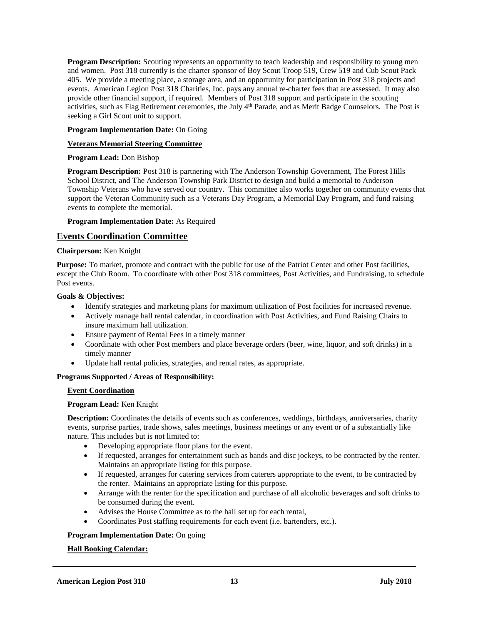**Program Description:** Scouting represents an opportunity to teach leadership and responsibility to young men and women. Post 318 currently is the charter sponsor of Boy Scout Troop 519, Crew 519 and Cub Scout Pack 405. We provide a meeting place, a storage area, and an opportunity for participation in Post 318 projects and events. American Legion Post 318 Charities, Inc. pays any annual re-charter fees that are assessed. It may also provide other financial support, if required. Members of Post 318 support and participate in the scouting activities, such as Flag Retirement ceremonies, the July 4<sup>th</sup> Parade, and as Merit Badge Counselors. The Post is seeking a Girl Scout unit to support.

## **Program Implementation Date:** On Going

## **Veterans Memorial Steering Committee**

## **Program Lead:** Don Bishop

**Program Description:** Post 318 is partnering with The Anderson Township Government, The Forest Hills School District, and The Anderson Township Park District to design and build a memorial to Anderson Township Veterans who have served our country. This committee also works together on community events that support the Veteran Community such as a Veterans Day Program, a Memorial Day Program, and fund raising events to complete the memorial.

**Program Implementation Date:** As Required

## **Events Coordination Committee**

## **Chairperson:** Ken Knight

**Purpose:** To market, promote and contract with the public for use of the Patriot Center and other Post facilities, except the Club Room. To coordinate with other Post 318 committees, Post Activities, and Fundraising, to schedule Post events.

### **Goals & Objectives:**

- Identify strategies and marketing plans for maximum utilization of Post facilities for increased revenue.
- Actively manage hall rental calendar, in coordination with Post Activities, and Fund Raising Chairs to insure maximum hall utilization.
- Ensure payment of Rental Fees in a timely manner
- Coordinate with other Post members and place beverage orders (beer, wine, liquor, and soft drinks) in a timely manner
- Update hall rental policies, strategies, and rental rates, as appropriate.

### **Programs Supported / Areas of Responsibility:**

## **Event Coordination**

### **Program Lead:** Ken Knight

**Description:** Coordinates the details of events such as conferences, weddings, birthdays, anniversaries, charity events, surprise parties, trade shows, sales meetings, business meetings or any event or of a substantially like nature. This includes but is not limited to:

- Developing appropriate floor plans for the event.
- If requested, arranges for entertainment such as bands and disc jockeys, to be contracted by the renter. Maintains an appropriate listing for this purpose.
- If requested, arranges for catering services from caterers appropriate to the event, to be contracted by the renter. Maintains an appropriate listing for this purpose.
- Arrange with the renter for the specification and purchase of all alcoholic beverages and soft drinks to be consumed during the event.
- Advises the House Committee as to the hall set up for each rental,
- Coordinates Post staffing requirements for each event (i.e. bartenders, etc.).

## **Program Implementation Date:** On going

## **Hall Booking Calendar:**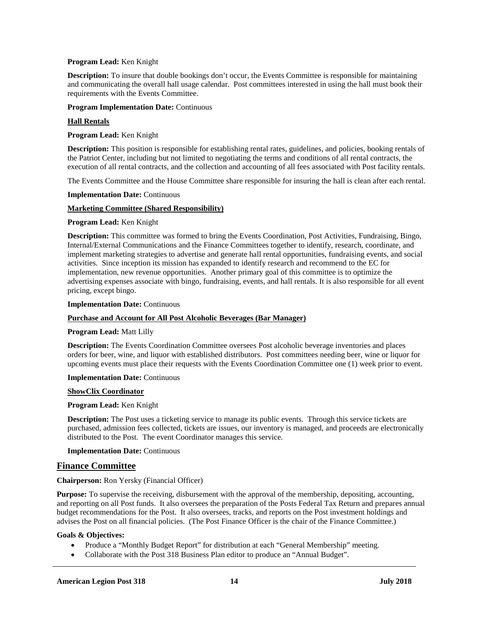### **Program Lead:** Ken Knight

**Description:** To insure that double bookings don't occur, the Events Committee is responsible for maintaining and communicating the overall hall usage calendar. Post committees interested in using the hall must book their requirements with the Events Committee.

### **Program Implementation Date:** Continuous

### **Hall Rentals**

**Program Lead:** Ken Knight

**Description:** This position is responsible for establishing rental rates, guidelines, and policies, booking rentals of the Patriot Center, including but not limited to negotiating the terms and conditions of all rental contracts, the execution of all rental contracts, and the collection and accounting of all fees associated with Post facility rentals.

The Events Committee and the House Committee share responsible for insuring the hall is clean after each rental.

**Implementation Date:** Continuous

### **Marketing Committee (Shared Responsibility)**

### **Program Lead:** Ken Knight

**Description:** This committee was formed to bring the Events Coordination, Post Activities, Fundraising, Bingo, Internal/External Communications and the Finance Committees together to identify, research, coordinate, and implement marketing strategies to advertise and generate hall rental opportunities, fundraising events, and social activities. Since inception its mission has expanded to identify research and recommend to the EC for implementation, new revenue opportunities. Another primary goal of this committee is to optimize the advertising expenses associate with bingo, fundraising, events, and hall rentals. It is also responsible for all event pricing, except bingo.

**Implementation Date:** Continuous

### **Purchase and Account for All Post Alcoholic Beverages (Bar Manager)**

### **Program Lead:** Matt Lilly

**Description:** The Events Coordination Committee oversees Post alcoholic beverage inventories and places orders for beer, wine, and liquor with established distributors. Post committees needing beer, wine or liquor for upcoming events must place their requests with the Events Coordination Committee one (1) week prior to event.

### **Implementation Date:** Continuous

#### **ShowClix Coordinator**

### **Program Lead:** Ken Knight

**Description:** The Post uses a ticketing service to manage its public events. Through this service tickets are purchased, admission fees collected, tickets are issues, our inventory is managed, and proceeds are electronically distributed to the Post. The event Coordinator manages this service.

**Implementation Date:** Continuous

### **Finance Committee**

### **Chairperson:** Ron Yersky (Financial Officer)

**Purpose:** To supervise the receiving, disbursement with the approval of the membership, depositing, accounting, and reporting on all Post funds. It also oversees the preparation of the Posts Federal Tax Return and prepares annual budget recommendations for the Post. It also oversees, tracks, and reports on the Post investment holdings and advises the Post on all financial policies. (The Post Finance Officer is the chair of the Finance Committee.)

### **Goals & Objectives:**

- Produce a "Monthly Budget Report" for distribution at each "General Membership" meeting.
- Collaborate with the Post 318 Business Plan editor to produce an "Annual Budget".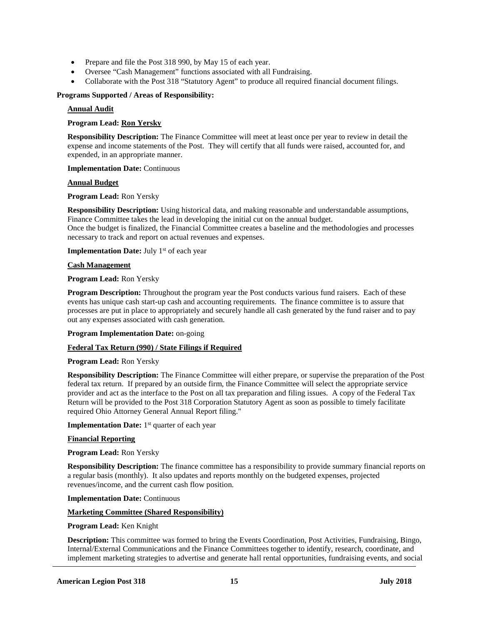- Prepare and file the Post 318 990, by May 15 of each year.
- Oversee "Cash Management" functions associated with all Fundraising.
- Collaborate with the Post 318 "Statutory Agent" to produce all required financial document filings.

### **Programs Supported / Areas of Responsibility:**

### **Annual Audit**

### **Program Lead: Ron Yersky**

**Responsibility Description:** The Finance Committee will meet at least once per year to review in detail the expense and income statements of the Post. They will certify that all funds were raised, accounted for, and expended, in an appropriate manner.

**Implementation Date:** Continuous

#### **Annual Budget**

**Program Lead:** Ron Yersky

**Responsibility Description:** Using historical data, and making reasonable and understandable assumptions, Finance Committee takes the lead in developing the initial cut on the annual budget. Once the budget is finalized, the Financial Committee creates a baseline and the methodologies and processes necessary to track and report on actual revenues and expenses.

**Implementation Date:** July 1<sup>st</sup> of each year

### **Cash Management**

### **Program Lead:** Ron Yersky

**Program Description:** Throughout the program year the Post conducts various fund raisers. Each of these events has unique cash start-up cash and accounting requirements. The finance committee is to assure that processes are put in place to appropriately and securely handle all cash generated by the fund raiser and to pay out any expenses associated with cash generation.

**Program Implementation Date:** on-going

### **Federal Tax Return (990) / State Filings if Required**

### **Program Lead:** Ron Yersky

**Responsibility Description:** The Finance Committee will either prepare, or supervise the preparation of the Post federal tax return. If prepared by an outside firm, the Finance Committee will select the appropriate service provider and act as the interface to the Post on all tax preparation and filing issues. A copy of the Federal Tax Return will be provided to the Post 318 Corporation Statutory Agent as soon as possible to timely facilitate required Ohio Attorney General Annual Report filing."

**Implementation Date:** 1<sup>st</sup> quarter of each year

### **Financial Reporting**

### **Program Lead:** Ron Yersky

**Responsibility Description:** The finance committee has a responsibility to provide summary financial reports on a regular basis (monthly). It also updates and reports monthly on the budgeted expenses, projected revenues/income, and the current cash flow position.

## **Implementation Date:** Continuous

### **Marketing Committee (Shared Responsibility)**

### **Program Lead:** Ken Knight

**Description:** This committee was formed to bring the Events Coordination, Post Activities, Fundraising, Bingo, Internal/External Communications and the Finance Committees together to identify, research, coordinate, and implement marketing strategies to advertise and generate hall rental opportunities, fundraising events, and social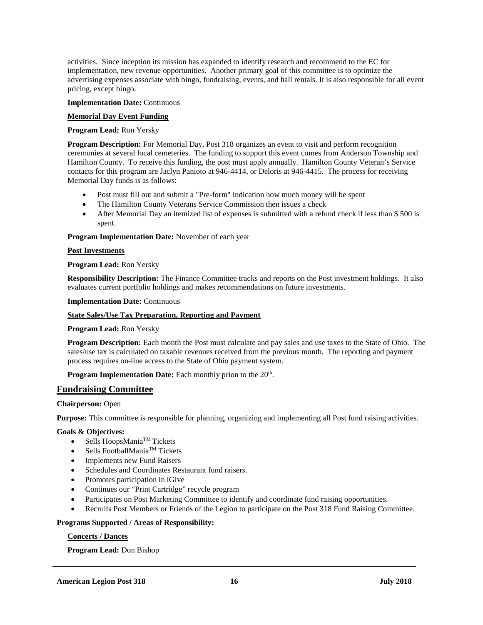activities. Since inception its mission has expanded to identify research and recommend to the EC for implementation, new revenue opportunities. Another primary goal of this committee is to optimize the advertising expenses associate with bingo, fundraising, events, and hall rentals. It is also responsible for all event pricing, except bingo.

### **Implementation Date:** Continuous

## **Memorial Day Event Funding**

## **Program Lead:** Ron Yersky

**Program Description:** For Memorial Day, Post 318 organizes an event to visit and perform recognition ceremonies at several local cemeteries. The funding to support this event comes from Anderson Township and Hamilton County. To receive this funding, the post must apply annually. Hamilton County Veteran's Service contacts for this program are Jaclyn Panioto at 946-4414, or Deloris at 946-4415. The process for receiving Memorial Day funds is as follows:

- Post must fill out and submit a "Pre-form" indication how much money will be spent
- The Hamilton County Veterans Service Commission then issues a check
- After Memorial Day an itemized list of expenses is submitted with a refund check if less than \$ 500 is spent.

**Program Implementation Date:** November of each year

## **Post Investments**

## **Program Lead:** Ron Yersky

**Responsibility Description:** The Finance Committee tracks and reports on the Post investment holdings. It also evaluates current portfolio holdings and makes recommendations on future investments.

**Implementation Date:** Continuous

## **State Sales/Use Tax Preparation, Reporting and Payment**

### **Program Lead:** Ron Yersky

**Program Description:** Each month the Post must calculate and pay sales and use taxes to the State of Ohio. The sales/use tax is calculated on taxable revenues received from the previous month. The reporting and payment process requires on-line access to the State of Ohio payment system.

**Program Implementation Date:** Each monthly prion to the 20<sup>th</sup>.

## **Fundraising Committee**

## **Chairperson:** Open

**Purpose:** This committee is responsible for planning, organizing and implementing all Post fund raising activities.

### **Goals & Objectives:**

- Sells HoopsMania<sup>TM</sup> Tickets
- Sells FootballMania<sup>TM</sup> Tickets
- Implements new Fund Raisers
- Schedules and Coordinates Restaurant fund raisers.
- Promotes participation in iGive
- Continues our "Print Cartridge" recycle program
- Participates on Post Marketing Committee to identify and coordinate fund raising opportunities.
- Recruits Post Members or Friends of the Legion to participate on the Post 318 Fund Raising Committee.

### **Programs Supported / Areas of Responsibility:**

### **Concerts / Dances**

**Program Lead:** Don Bishop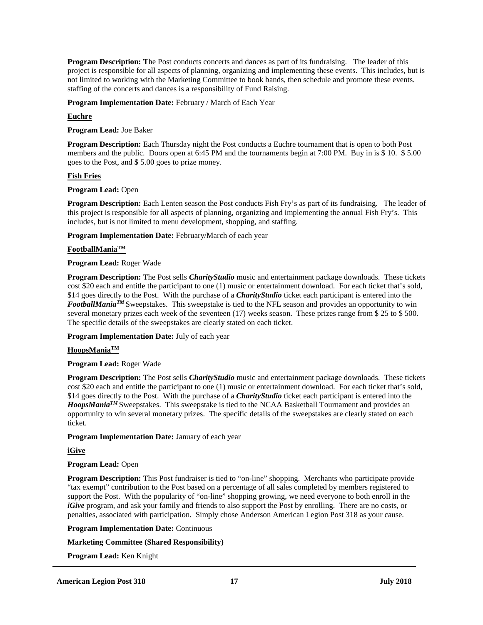**Program Description: T**he Post conducts concerts and dances as part of its fundraising. The leader of this project is responsible for all aspects of planning, organizing and implementing these events. This includes, but is not limited to working with the Marketing Committee to book bands, then schedule and promote these events. staffing of the concerts and dances is a responsibility of Fund Raising.

**Program Implementation Date:** February / March of Each Year

## **Euchre**

**Program Lead:** Joe Baker

**Program Description:** Each Thursday night the Post conducts a Euchre tournament that is open to both Post members and the public. Doors open at 6:45 PM and the tournaments begin at 7:00 PM. Buy in is \$ 10. \$ 5.00 goes to the Post, and \$ 5.00 goes to prize money.

## **Fish Fries**

## **Program Lead:** Open

**Program Description:** Each Lenten season the Post conducts Fish Fry's as part of its fundraising. The leader of this project is responsible for all aspects of planning, organizing and implementing the annual Fish Fry's. This includes, but is not limited to menu development, shopping, and staffing.

**Program Implementation Date:** February/March of each year

## **FootballManiaTM**

## **Program Lead:** Roger Wade

**Program Description:** The Post sells *CharityStudio* music and entertainment package downloads. These tickets cost \$20 each and entitle the participant to one (1) music or entertainment download. For each ticket that's sold, \$14 goes directly to the Post. With the purchase of a *CharityStudio* ticket each participant is entered into the *FootballManiaTM* Sweepstakes. This sweepstake is tied to the NFL season and provides an opportunity to win several monetary prizes each week of the seventeen (17) weeks season. These prizes range from \$ 25 to \$ 500. The specific details of the sweepstakes are clearly stated on each ticket.

**Program Implementation Date:** July of each year

## **HoopsManiaTM**

**Program Lead:** Roger Wade

**Program Description:** The Post sells *CharityStudio* music and entertainment package downloads. These tickets cost \$20 each and entitle the participant to one (1) music or entertainment download. For each ticket that's sold, \$14 goes directly to the Post. With the purchase of a *CharityStudio* ticket each participant is entered into the *HoopsManiaTM* Sweepstakes. This sweepstake is tied to the NCAA Basketball Tournament and provides an opportunity to win several monetary prizes. The specific details of the sweepstakes are clearly stated on each ticket.

## **Program Implementation Date:** January of each year

## **iGive**

## **Program Lead:** Open

**Program Description:** This Post fundraiser is tied to "on-line" shopping. Merchants who participate provide "tax exempt" contribution to the Post based on a percentage of all sales completed by members registered to support the Post. With the popularity of "on-line" shopping growing, we need everyone to both enroll in the *iGive* program, and ask your family and friends to also support the Post by enrolling. There are no costs, or penalties, associated with participation. Simply chose Anderson American Legion Post 318 as your cause.

**Program Implementation Date:** Continuous

## **Marketing Committee (Shared Responsibility)**

**Program Lead:** Ken Knight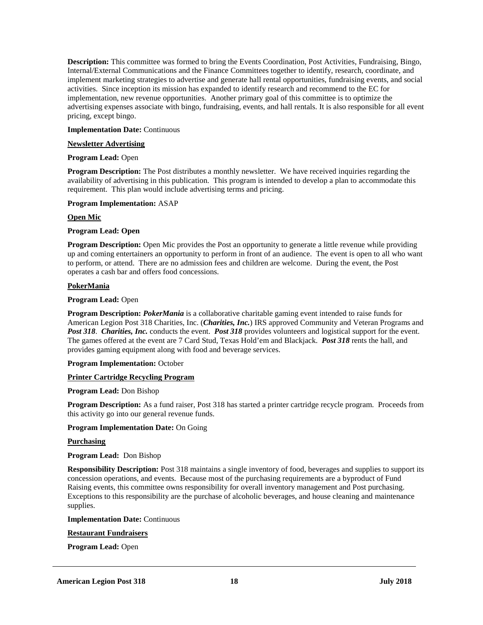**Description:** This committee was formed to bring the Events Coordination, Post Activities, Fundraising, Bingo, Internal/External Communications and the Finance Committees together to identify, research, coordinate, and implement marketing strategies to advertise and generate hall rental opportunities, fundraising events, and social activities. Since inception its mission has expanded to identify research and recommend to the EC for implementation, new revenue opportunities. Another primary goal of this committee is to optimize the advertising expenses associate with bingo, fundraising, events, and hall rentals. It is also responsible for all event pricing, except bingo.

### **Implementation Date:** Continuous

## **Newsletter Advertising**

## **Program Lead:** Open

**Program Description:** The Post distributes a monthly newsletter. We have received inquiries regarding the availability of advertising in this publication. This program is intended to develop a plan to accommodate this requirement. This plan would include advertising terms and pricing.

## **Program Implementation:** ASAP

## **Open Mic**

## **Program Lead: Open**

**Program Description:** Open Mic provides the Post an opportunity to generate a little revenue while providing up and coming entertainers an opportunity to perform in front of an audience. The event is open to all who want to perform, or attend. There are no admission fees and children are welcome. During the event, the Post operates a cash bar and offers food concessions.

## **PokerMania**

## **Program Lead:** Open

**Program Description:** *PokerMania* is a collaborative charitable gaming event intended to raise funds for American Legion Post 318 Charities, Inc. (*Charities, Inc.*) IRS approved Community and Veteran Programs and *Post 318*. *Charities, Inc.* conducts the event. *Post 318* provides volunteers and logistical support for the event. The games offered at the event are 7 Card Stud, Texas Hold'em and Blackjack. *Post 318* rents the hall, and provides gaming equipment along with food and beverage services.

### **Program Implementation:** October

## **Printer Cartridge Recycling Program**

### **Program Lead:** Don Bishop

**Program Description:** As a fund raiser, Post 318 has started a printer cartridge recycle program. Proceeds from this activity go into our general revenue funds.

## **Program Implementation Date:** On Going

## **Purchasing**

**Program Lead:** Don Bishop

**Responsibility Description:** Post 318 maintains a single inventory of food, beverages and supplies to support its concession operations, and events. Because most of the purchasing requirements are a byproduct of Fund Raising events, this committee owns responsibility for overall inventory management and Post purchasing. Exceptions to this responsibility are the purchase of alcoholic beverages, and house cleaning and maintenance supplies.

### **Implementation Date:** Continuous

## **Restaurant Fundraisers**

**Program Lead:** Open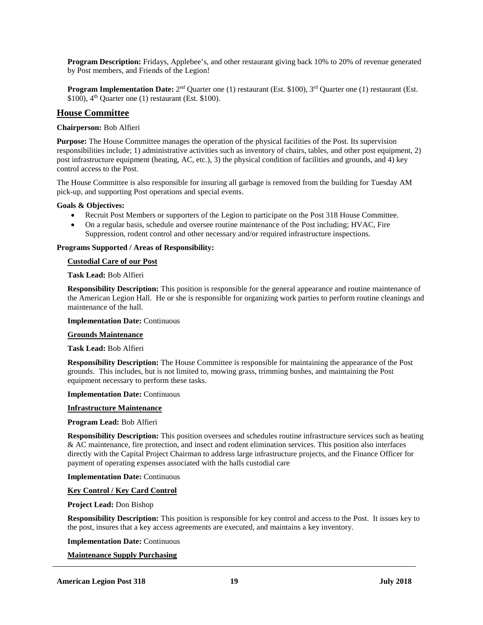**Program Description:** Fridays, Applebee's, and other restaurant giving back 10% to 20% of revenue generated by Post members, and Friends of the Legion!

**Program Implementation Date:** 2<sup>nd</sup> Quarter one (1) restaurant (Est. \$100), 3<sup>rd</sup> Quarter one (1) restaurant (Est. \$100),  $4<sup>th</sup>$  Quarter one (1) restaurant (Est. \$100).

## **House Committee**

### **Chairperson:** Bob Alfieri

**Purpose:** The House Committee manages the operation of the physical facilities of the Post. Its supervision responsibilities include; 1) administrative activities such as inventory of chairs, tables, and other post equipment, 2) post infrastructure equipment (heating, AC, etc.), 3) the physical condition of facilities and grounds, and 4) key control access to the Post.

The House Committee is also responsible for insuring all garbage is removed from the building for Tuesday AM pick-up, and supporting Post operations and special events.

### **Goals & Objectives:**

- Recruit Post Members or supporters of the Legion to participate on the Post 318 House Committee.
- On a regular basis, schedule and oversee routine maintenance of the Post including; HVAC, Fire Suppression, rodent control and other necessary and/or required infrastructure inspections.

## **Programs Supported / Areas of Responsibility:**

### **Custodial Care of our Post**

**Task Lead:** Bob Alfieri

**Responsibility Description:** This position is responsible for the general appearance and routine maintenance of the American Legion Hall. He or she is responsible for organizing work parties to perform routine cleanings and maintenance of the hall.

### **Implementation Date:** Continuous

### **Grounds Maintenance**

### **Task Lead:** Bob Alfieri

**Responsibility Description:** The House Committee is responsible for maintaining the appearance of the Post grounds. This includes, but is not limited to, mowing grass, trimming bushes, and maintaining the Post equipment necessary to perform these tasks.

### **Implementation Date:** Continuous

### **Infrastructure Maintenance**

### **Program Lead:** Bob Alfieri

**Responsibility Description:** This position oversees and schedules routine infrastructure services such as heating & AC maintenance, fire protection, and insect and rodent elimination services. This position also interfaces directly with the Capital Project Chairman to address large infrastructure projects, and the Finance Officer for payment of operating expenses associated with the halls custodial care

### **Implementation Date:** Continuous

## **Key Control / Key Card Control**

### **Project Lead:** Don Bishop

**Responsibility Description:** This position is responsible for key control and access to the Post. It issues key to the post, insures that a key access agreements are executed, and maintains a key inventory.

### **Implementation Date:** Continuous

## **Maintenance Supply Purchasing**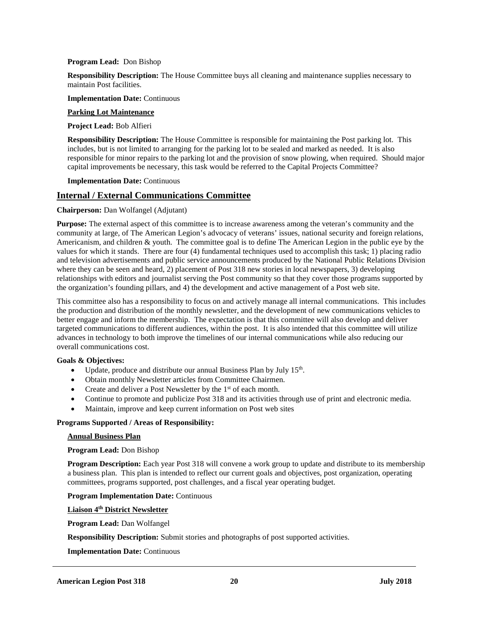### **Program Lead:** Don Bishop

**Responsibility Description:** The House Committee buys all cleaning and maintenance supplies necessary to maintain Post facilities.

**Implementation Date:** Continuous

### **Parking Lot Maintenance**

### **Project Lead:** Bob Alfieri

**Responsibility Description:** The House Committee is responsible for maintaining the Post parking lot. This includes, but is not limited to arranging for the parking lot to be sealed and marked as needed. It is also responsible for minor repairs to the parking lot and the provision of snow plowing, when required. Should major capital improvements be necessary, this task would be referred to the Capital Projects Committee?

### **Implementation Date:** Continuous

## **Internal / External Communications Committee**

## **Chairperson:** Dan Wolfangel (Adjutant)

**Purpose:** The external aspect of this committee is to increase awareness among the veteran's community and the community at large, of The American Legion's advocacy of veterans' issues, national security and foreign relations, Americanism, and children & youth. The committee goal is to define The American Legion in the public eye by the values for which it stands. There are four (4) fundamental techniques used to accomplish this task; 1) placing radio and television advertisements and public service announcements produced by the National Public Relations Division where they can be seen and heard, 2) placement of Post 318 new stories in local newspapers, 3) developing relationships with editors and journalist serving the Post community so that they cover those programs supported by the organization's founding pillars, and 4) the development and active management of a Post web site.

This committee also has a responsibility to focus on and actively manage all internal communications. This includes the production and distribution of the monthly newsletter, and the development of new communications vehicles to better engage and inform the membership. The expectation is that this committee will also develop and deliver targeted communications to different audiences, within the post. It is also intended that this committee will utilize advances in technology to both improve the timelines of our internal communications while also reducing our overall communications cost.

## **Goals & Objectives:**

- Update, produce and distribute our annual Business Plan by July  $15<sup>th</sup>$ .
- Obtain monthly Newsletter articles from Committee Chairmen.
- Create and deliver a Post Newsletter by the 1<sup>st</sup> of each month.
- Continue to promote and publicize Post 318 and its activities through use of print and electronic media.
- Maintain, improve and keep current information on Post web sites

### **Programs Supported / Areas of Responsibility:**

### **Annual Business Plan**

### **Program Lead:** Don Bishop

**Program Description:** Each year Post 318 will convene a work group to update and distribute to its membership a business plan. This plan is intended to reflect our current goals and objectives, post organization, operating committees, programs supported, post challenges, and a fiscal year operating budget.

### **Program Implementation Date:** Continuous

**Liaison 4th District Newsletter**

**Program Lead:** Dan Wolfangel

**Responsibility Description:** Submit stories and photographs of post supported activities.

**Implementation Date:** Continuous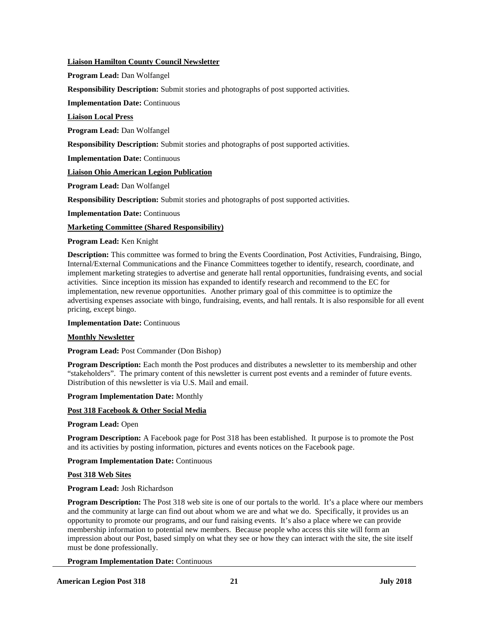## **Liaison Hamilton County Council Newsletter**

**Program Lead:** Dan Wolfangel

**Responsibility Description:** Submit stories and photographs of post supported activities.

**Implementation Date:** Continuous

**Liaison Local Press**

**Program Lead:** Dan Wolfangel

**Responsibility Description:** Submit stories and photographs of post supported activities.

**Implementation Date:** Continuous

## **Liaison Ohio American Legion Publication**

**Program Lead:** Dan Wolfangel

**Responsibility Description:** Submit stories and photographs of post supported activities.

**Implementation Date:** Continuous

## **Marketing Committee (Shared Responsibility)**

**Program Lead:** Ken Knight

**Description:** This committee was formed to bring the Events Coordination, Post Activities, Fundraising, Bingo, Internal/External Communications and the Finance Committees together to identify, research, coordinate, and implement marketing strategies to advertise and generate hall rental opportunities, fundraising events, and social activities. Since inception its mission has expanded to identify research and recommend to the EC for implementation, new revenue opportunities. Another primary goal of this committee is to optimize the advertising expenses associate with bingo, fundraising, events, and hall rentals. It is also responsible for all event pricing, except bingo.

### **Implementation Date:** Continuous

### **Monthly Newsletter**

**Program Lead:** Post Commander (Don Bishop)

**Program Description:** Each month the Post produces and distributes a newsletter to its membership and other "stakeholders". The primary content of this newsletter is current post events and a reminder of future events. Distribution of this newsletter is via U.S. Mail and email.

### **Program Implementation Date:** Monthly

## **Post 318 Facebook & Other Social Media**

**Program Lead:** Open

**Program Description:** A Facebook page for Post 318 has been established. It purpose is to promote the Post and its activities by posting information, pictures and events notices on the Facebook page.

**Program Implementation Date:** Continuous

### **Post 318 Web Sites**

## **Program Lead:** Josh Richardson

**Program Description:** The Post 318 web site is one of our portals to the world. It's a place where our members and the community at large can find out about whom we are and what we do. Specifically, it provides us an opportunity to promote our programs, and our fund raising events. It's also a place where we can provide membership information to potential new members. Because people who access this site will form an impression about our Post, based simply on what they see or how they can interact with the site, the site itself must be done professionally.

### **Program Implementation Date:** Continuous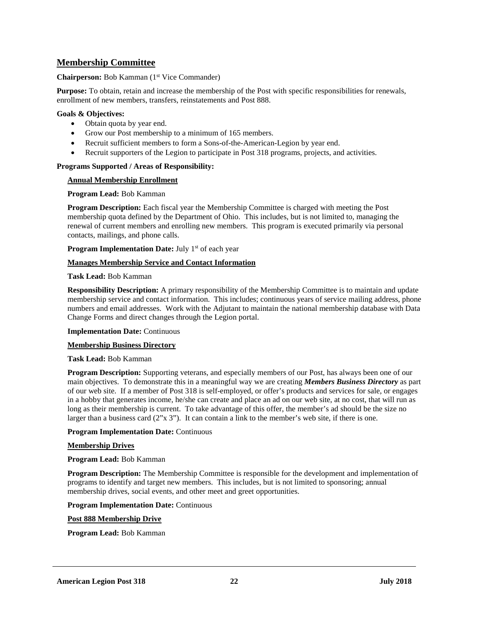## **Membership Committee**

## **Chairperson:** Bob Kamman (1<sup>st</sup> Vice Commander)

**Purpose:** To obtain, retain and increase the membership of the Post with specific responsibilities for renewals, enrollment of new members, transfers, reinstatements and Post 888.

### **Goals & Objectives:**

- Obtain quota by year end.
- Grow our Post membership to a minimum of 165 members.
- Recruit sufficient members to form a Sons-of-the-American-Legion by year end.
- Recruit supporters of the Legion to participate in Post 318 programs, projects, and activities.

## **Programs Supported / Areas of Responsibility:**

## **Annual Membership Enrollment**

### **Program Lead:** Bob Kamman

**Program Description:** Each fiscal year the Membership Committee is charged with meeting the Post membership quota defined by the Department of Ohio. This includes, but is not limited to, managing the renewal of current members and enrolling new members. This program is executed primarily via personal contacts, mailings, and phone calls.

**Program Implementation Date:** July 1<sup>st</sup> of each year

## **Manages Membership Service and Contact Information**

## **Task Lead:** Bob Kamman

**Responsibility Description:** A primary responsibility of the Membership Committee is to maintain and update membership service and contact information. This includes; continuous years of service mailing address, phone numbers and email addresses. Work with the Adjutant to maintain the national membership database with Data Change Forms and direct changes through the Legion portal.

### **Implementation Date:** Continuous

## **Membership Business Directory**

### **Task Lead:** Bob Kamman

**Program Description:** Supporting veterans, and especially members of our Post, has always been one of our main objectives. To demonstrate this in a meaningful way we are creating *Members Business Directory* as part of our web site. If a member of Post 318 is self-employed, or offer's products and services for sale, or engages in a hobby that generates income, he/she can create and place an ad on our web site, at no cost, that will run as long as their membership is current. To take advantage of this offer, the member's ad should be the size no larger than a business card  $(2^{\prime\prime}x\ 3^{\prime\prime})$ . It can contain a link to the member's web site, if there is one.

### **Program Implementation Date:** Continuous

## **Membership Drives**

## **Program Lead:** Bob Kamman

**Program Description:** The Membership Committee is responsible for the development and implementation of programs to identify and target new members. This includes, but is not limited to sponsoring; annual membership drives, social events, and other meet and greet opportunities.

### **Program Implementation Date:** Continuous

### **Post 888 Membership Drive**

**Program Lead:** Bob Kamman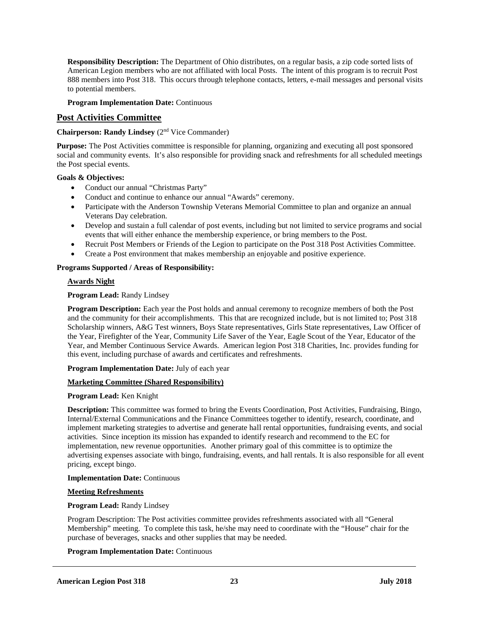**Responsibility Description:** The Department of Ohio distributes, on a regular basis, a zip code sorted lists of American Legion members who are not affiliated with local Posts. The intent of this program is to recruit Post 888 members into Post 318. This occurs through telephone contacts, letters, e-mail messages and personal visits to potential members.

## **Program Implementation Date:** Continuous

## **Post Activities Committee**

## **Chairperson: Randy Lindsey** (2nd Vice Commander)

**Purpose:** The Post Activities committee is responsible for planning, organizing and executing all post sponsored social and community events. It's also responsible for providing snack and refreshments for all scheduled meetings the Post special events.

## **Goals & Objectives:**

- Conduct our annual "Christmas Party"
- Conduct and continue to enhance our annual "Awards" ceremony.
- Participate with the Anderson Township Veterans Memorial Committee to plan and organize an annual Veterans Day celebration.
- Develop and sustain a full calendar of post events, including but not limited to service programs and social events that will either enhance the membership experience, or bring members to the Post.
- Recruit Post Members or Friends of the Legion to participate on the Post 318 Post Activities Committee.
- Create a Post environment that makes membership an enjoyable and positive experience.

## **Programs Supported / Areas of Responsibility:**

## **Awards Night**

## **Program Lead:** Randy Lindsey

**Program Description:** Each year the Post holds and annual ceremony to recognize members of both the Post and the community for their accomplishments. This that are recognized include, but is not limited to; Post 318 Scholarship winners, A&G Test winners, Boys State representatives, Girls State representatives, Law Officer of the Year, Firefighter of the Year, Community Life Saver of the Year, Eagle Scout of the Year, Educator of the Year, and Member Continuous Service Awards. American legion Post 318 Charities, Inc. provides funding for this event, including purchase of awards and certificates and refreshments.

## **Program Implementation Date:** July of each year

## **Marketing Committee (Shared Responsibility)**

### **Program Lead:** Ken Knight

**Description:** This committee was formed to bring the Events Coordination, Post Activities, Fundraising, Bingo, Internal/External Communications and the Finance Committees together to identify, research, coordinate, and implement marketing strategies to advertise and generate hall rental opportunities, fundraising events, and social activities. Since inception its mission has expanded to identify research and recommend to the EC for implementation, new revenue opportunities. Another primary goal of this committee is to optimize the advertising expenses associate with bingo, fundraising, events, and hall rentals. It is also responsible for all event pricing, except bingo.

### **Implementation Date:** Continuous

### **Meeting Refreshments**

## **Program Lead:** Randy Lindsey

Program Description: The Post activities committee provides refreshments associated with all "General Membership" meeting. To complete this task, he/she may need to coordinate with the "House" chair for the purchase of beverages, snacks and other supplies that may be needed.

### **Program Implementation Date:** Continuous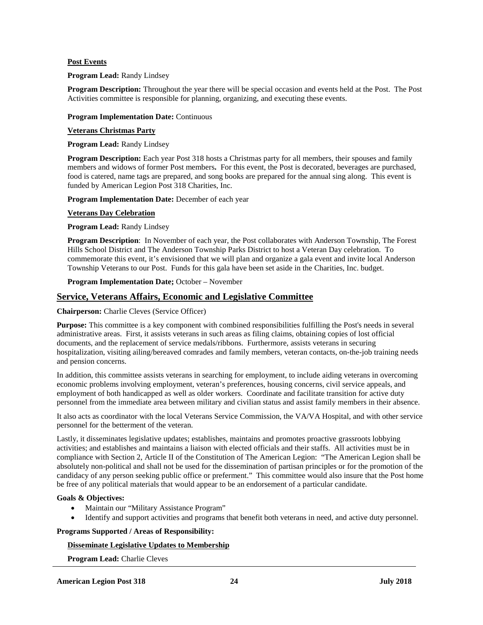## **Post Events**

### **Program Lead:** Randy Lindsey

**Program Description:** Throughout the year there will be special occasion and events held at the Post. The Post Activities committee is responsible for planning, organizing, and executing these events.

## **Program Implementation Date:** Continuous

### **Veterans Christmas Party**

**Program Lead:** Randy Lindsey

**Program Description:** Each year Post 318 hosts a Christmas party for all members, their spouses and family members and widows of former Post members**.** For this event, the Post is decorated, beverages are purchased, food is catered, name tags are prepared, and song books are prepared for the annual sing along. This event is funded by American Legion Post 318 Charities, Inc.

**Program Implementation Date:** December of each year

## **Veterans Day Celebration**

### **Program Lead:** Randy Lindsey

**Program Description**: In November of each year, the Post collaborates with Anderson Township, The Forest Hills School District and The Anderson Township Parks District to host a Veteran Day celebration. To commemorate this event, it's envisioned that we will plan and organize a gala event and invite local Anderson Township Veterans to our Post. Funds for this gala have been set aside in the Charities, Inc. budget.

### **Program Implementation Date;** October – November

## **Service, Veterans Affairs, Economic and Legislative Committee**

### **Chairperson:** Charlie Cleves (Service Officer)

**Purpose:** This committee is a key component with combined responsibilities fulfilling the Post's needs in several administrative areas. First, it assists veterans in such areas as filing claims, obtaining copies of lost official documents, and the replacement of service medals/ribbons. Furthermore, assists veterans in securing hospitalization, visiting ailing/bereaved comrades and family members, veteran contacts, on-the-job training needs and pension concerns.

In addition, this committee assists veterans in searching for employment, to include aiding veterans in overcoming economic problems involving employment, veteran's preferences, housing concerns, civil service appeals, and employment of both handicapped as well as older workers. Coordinate and facilitate transition for active duty personnel from the immediate area between military and civilian status and assist family members in their absence.

It also acts as coordinator with the local Veterans Service Commission, the VA/VA Hospital, and with other service personnel for the betterment of the veteran.

Lastly, it disseminates legislative updates; establishes, maintains and promotes proactive grassroots lobbying activities; and establishes and maintains a liaison with elected officials and their staffs. All activities must be in compliance with Section 2, Article II of the Constitution of The American Legion: "The American Legion shall be absolutely non-political and shall not be used for the dissemination of partisan principles or for the promotion of the candidacy of any person seeking public office or preferment." This committee would also insure that the Post home be free of any political materials that would appear to be an endorsement of a particular candidate.

### **Goals & Objectives:**

- Maintain our "Military Assistance Program"
- Identify and support activities and programs that benefit both veterans in need, and active duty personnel.

### **Programs Supported / Areas of Responsibility:**

## **Disseminate Legislative Updates to Membership**

**Program Lead:** Charlie Cleves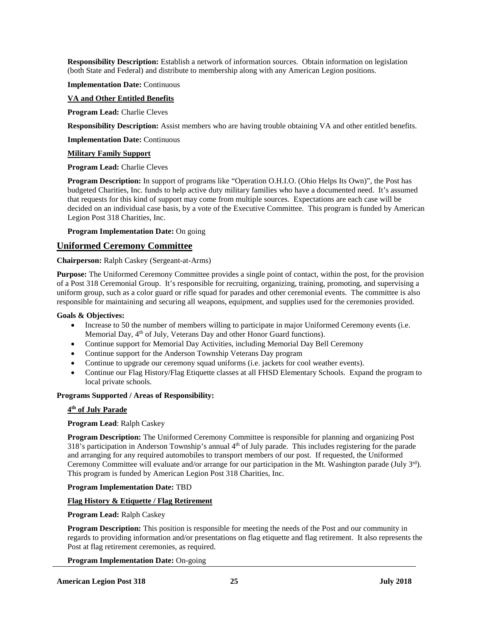**Responsibility Description:** Establish a network of information sources. Obtain information on legislation (both State and Federal) and distribute to membership along with any American Legion positions.

**Implementation Date:** Continuous

## **VA and Other Entitled Benefits**

**Program Lead:** Charlie Cleves

**Responsibility Description:** Assist members who are having trouble obtaining VA and other entitled benefits.

**Implementation Date:** Continuous

## **Military Family Support**

### **Program Lead:** Charlie Cleves

**Program Description:** In support of programs like "Operation O.H.I.O. (Ohio Helps Its Own)", the Post has budgeted Charities, Inc. funds to help active duty military families who have a documented need. It's assumed that requests for this kind of support may come from multiple sources. Expectations are each case will be decided on an individual case basis, by a vote of the Executive Committee. This program is funded by American Legion Post 318 Charities, Inc.

**Program Implementation Date:** On going

## **Uniformed Ceremony Committee**

## **Chairperson:** Ralph Caskey (Sergeant-at-Arms)

**Purpose:** The Uniformed Ceremony Committee provides a single point of contact, within the post, for the provision of a Post 318 Ceremonial Group. It's responsible for recruiting, organizing, training, promoting, and supervising a uniform group, such as a color guard or rifle squad for parades and other ceremonial events. The committee is also responsible for maintaining and securing all weapons, equipment, and supplies used for the ceremonies provided.

### **Goals & Objectives:**

- Increase to 50 the number of members willing to participate in major Uniformed Ceremony events (i.e. Memorial Day, 4<sup>th</sup> of July, Veterans Day and other Honor Guard functions).
- Continue support for Memorial Day Activities, including Memorial Day Bell Ceremony
- Continue support for the Anderson Township Veterans Day program
- Continue to upgrade our ceremony squad uniforms (i.e. jackets for cool weather events).
- Continue our Flag History/Flag Etiquette classes at all FHSD Elementary Schools. Expand the program to local private schools.

## **Programs Supported / Areas of Responsibility:**

## **4th of July Parade**

## **Program Lead**: Ralph Caskey

**Program Description:** The Uniformed Ceremony Committee is responsible for planning and organizing Post 318's participation in Anderson Township's annual  $4<sup>th</sup>$  of July parade. This includes registering for the parade and arranging for any required automobiles to transport members of our post. If requested, the Uniformed Ceremony Committee will evaluate and/or arrange for our participation in the Mt. Washington parade (July  $3<sup>rd</sup>$ ). This program is funded by American Legion Post 318 Charities, Inc.

### **Program Implementation Date:** TBD

## **Flag History & Etiquette / Flag Retirement**

## **Program Lead:** Ralph Caskey

**Program Description:** This position is responsible for meeting the needs of the Post and our community in regards to providing information and/or presentations on flag etiquette and flag retirement. It also represents the Post at flag retirement ceremonies, as required.

**Program Implementation Date:** On-going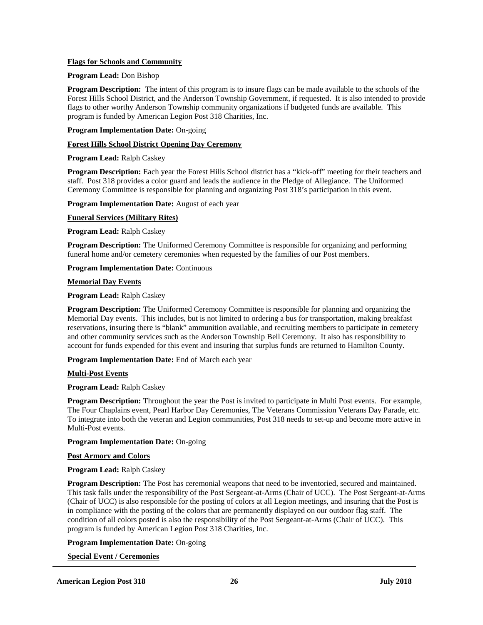## **Flags for Schools and Community**

### **Program Lead:** Don Bishop

**Program Description:** The intent of this program is to insure flags can be made available to the schools of the Forest Hills School District, and the Anderson Township Government, if requested. It is also intended to provide flags to other worthy Anderson Township community organizations if budgeted funds are available. This program is funded by American Legion Post 318 Charities, Inc.

## **Program Implementation Date:** On-going

#### **Forest Hills School District Opening Day Ceremony**

#### **Program Lead:** Ralph Caskey

**Program Description:** Each year the Forest Hills School district has a "kick-off" meeting for their teachers and staff. Post 318 provides a color guard and leads the audience in the Pledge of Allegiance. The Uniformed Ceremony Committee is responsible for planning and organizing Post 318's participation in this event.

**Program Implementation Date:** August of each year

### **Funeral Services (Military Rites)**

### **Program Lead:** Ralph Caskey

**Program Description:** The Uniformed Ceremony Committee is responsible for organizing and performing funeral home and/or cemetery ceremonies when requested by the families of our Post members.

### **Program Implementation Date:** Continuous

#### **Memorial Day Events**

### **Program Lead:** Ralph Caskey

**Program Description:** The Uniformed Ceremony Committee is responsible for planning and organizing the Memorial Day events. This includes, but is not limited to ordering a bus for transportation, making breakfast reservations, insuring there is "blank" ammunition available, and recruiting members to participate in cemetery and other community services such as the Anderson Township Bell Ceremony. It also has responsibility to account for funds expended for this event and insuring that surplus funds are returned to Hamilton County.

**Program Implementation Date:** End of March each year

### **Multi-Post Events**

### **Program Lead:** Ralph Caskey

**Program Description:** Throughout the year the Post is invited to participate in Multi Post events. For example, The Four Chaplains event, Pearl Harbor Day Ceremonies, The Veterans Commission Veterans Day Parade, etc. To integrate into both the veteran and Legion communities, Post 318 needs to set-up and become more active in Multi-Post events.

## **Program Implementation Date:** On-going

### **Post Armory and Colors**

### **Program Lead:** Ralph Caskey

**Program Description:** The Post has ceremonial weapons that need to be inventoried, secured and maintained. This task falls under the responsibility of the Post Sergeant-at-Arms (Chair of UCC). The Post Sergeant-at-Arms (Chair of UCC) is also responsible for the posting of colors at all Legion meetings, and insuring that the Post is in compliance with the posting of the colors that are permanently displayed on our outdoor flag staff. The condition of all colors posted is also the responsibility of the Post Sergeant-at-Arms (Chair of UCC). This program is funded by American Legion Post 318 Charities, Inc.

## **Program Implementation Date:** On-going

### **Special Event / Ceremonies**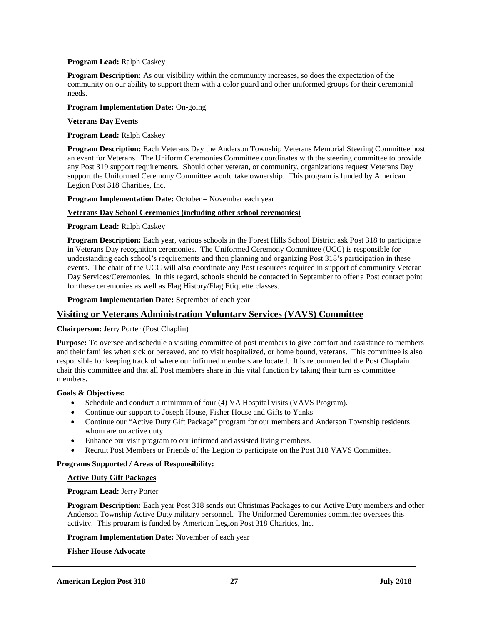## **Program Lead:** Ralph Caskey

**Program Description:** As our visibility within the community increases, so does the expectation of the community on our ability to support them with a color guard and other uniformed groups for their ceremonial needs.

### **Program Implementation Date:** On-going

## **Veterans Day Events**

**Program Lead:** Ralph Caskey

**Program Description:** Each Veterans Day the Anderson Township Veterans Memorial Steering Committee host an event for Veterans. The Uniform Ceremonies Committee coordinates with the steering committee to provide any Post 319 support requirements. Should other veteran, or community, organizations request Veterans Day support the Uniformed Ceremony Committee would take ownership. This program is funded by American Legion Post 318 Charities, Inc.

**Program Implementation Date:** October – November each year

## **Veterans Day School Ceremonies (including other school ceremonies)**

**Program Lead:** Ralph Caskey

**Program Description:** Each year, various schools in the Forest Hills School District ask Post 318 to participate in Veterans Day recognition ceremonies. The Uniformed Ceremony Committee (UCC) is responsible for understanding each school's requirements and then planning and organizing Post 318's participation in these events. The chair of the UCC will also coordinate any Post resources required in support of community Veteran Day Services/Ceremonies. In this regard, schools should be contacted in September to offer a Post contact point for these ceremonies as well as Flag History/Flag Etiquette classes.

**Program Implementation Date:** September of each year

## **Visiting or Veterans Administration Voluntary Services (VAVS) Committee**

**Chairperson:** Jerry Porter (Post Chaplin)

**Purpose:** To oversee and schedule a visiting committee of post members to give comfort and assistance to members and their families when sick or bereaved, and to visit hospitalized, or home bound, veterans. This committee is also responsible for keeping track of where our infirmed members are located. It is recommended the Post Chaplain chair this committee and that all Post members share in this vital function by taking their turn as committee members.

## **Goals & Objectives:**

- Schedule and conduct a minimum of four (4) VA Hospital visits (VAVS Program).
- Continue our support to Joseph House, Fisher House and Gifts to Yanks
- Continue our "Active Duty Gift Package" program for our members and Anderson Township residents whom are on active duty.
- Enhance our visit program to our infirmed and assisted living members.
- Recruit Post Members or Friends of the Legion to participate on the Post 318 VAVS Committee.

## **Programs Supported / Areas of Responsibility:**

### **Active Duty Gift Packages**

### **Program Lead:** Jerry Porter

**Program Description:** Each year Post 318 sends out Christmas Packages to our Active Duty members and other Anderson Township Active Duty military personnel. The Uniformed Ceremonies committee oversees this activity. This program is funded by American Legion Post 318 Charities, Inc.

**Program Implementation Date:** November of each year

## **Fisher House Advocate**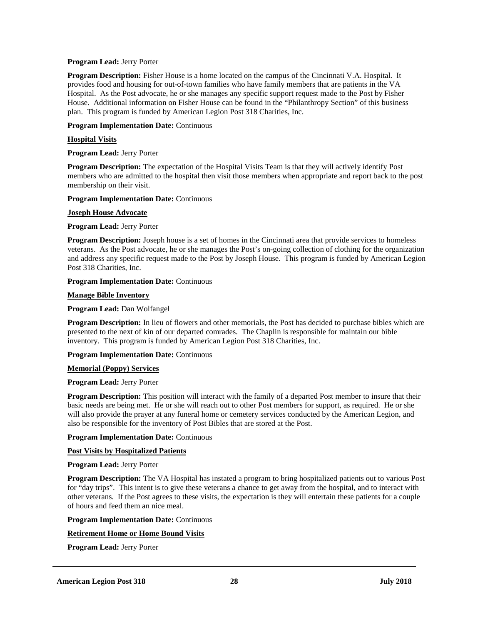### **Program Lead:** Jerry Porter

**Program Description:** Fisher House is a home located on the campus of the Cincinnati V.A. Hospital. It provides food and housing for out-of-town families who have family members that are patients in the VA Hospital. As the Post advocate, he or she manages any specific support request made to the Post by Fisher House. Additional information on Fisher House can be found in the "Philanthropy Section" of this business plan. This program is funded by American Legion Post 318 Charities, Inc.

## **Program Implementation Date:** Continuous

## **Hospital Visits**

**Program Lead:** Jerry Porter

**Program Description:** The expectation of the Hospital Visits Team is that they will actively identify Post members who are admitted to the hospital then visit those members when appropriate and report back to the post membership on their visit.

### **Program Implementation Date:** Continuous

## **Joseph House Advocate**

## **Program Lead:** Jerry Porter

**Program Description:** Joseph house is a set of homes in the Cincinnati area that provide services to homeless veterans. As the Post advocate, he or she manages the Post's on-going collection of clothing for the organization and address any specific request made to the Post by Joseph House. This program is funded by American Legion Post 318 Charities, Inc.

## **Program Implementation Date:** Continuous

## **Manage Bible Inventory**

## **Program Lead:** Dan Wolfangel

**Program Description:** In lieu of flowers and other memorials, the Post has decided to purchase bibles which are presented to the next of kin of our departed comrades. The Chaplin is responsible for maintain our bible inventory. This program is funded by American Legion Post 318 Charities, Inc.

## **Program Implementation Date:** Continuous

## **Memorial (Poppy) Services**

## **Program Lead:** Jerry Porter

**Program Description:** This position will interact with the family of a departed Post member to insure that their basic needs are being met. He or she will reach out to other Post members for support, as required. He or she will also provide the prayer at any funeral home or cemetery services conducted by the American Legion, and also be responsible for the inventory of Post Bibles that are stored at the Post.

### **Program Implementation Date:** Continuous

## **Post Visits by Hospitalized Patients**

## **Program Lead:** Jerry Porter

**Program Description:** The VA Hospital has instated a program to bring hospitalized patients out to various Post for "day trips". This intent is to give these veterans a chance to get away from the hospital, and to interact with other veterans. If the Post agrees to these visits, the expectation is they will entertain these patients for a couple of hours and feed them an nice meal.

### **Program Implementation Date:** Continuous

## **Retirement Home or Home Bound Visits**

**Program Lead:** Jerry Porter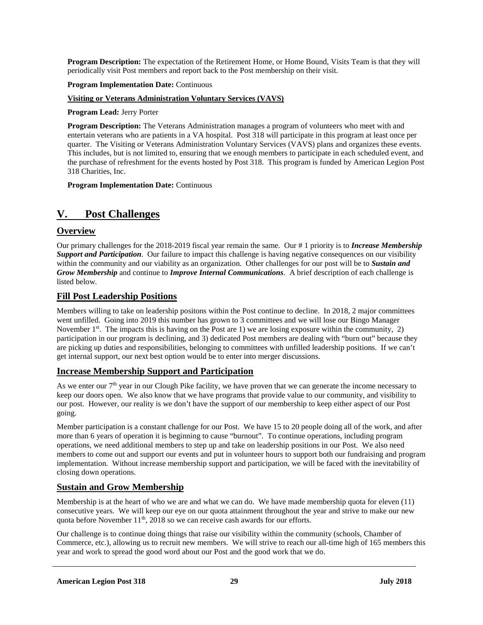**Program Description:** The expectation of the Retirement Home, or Home Bound, Visits Team is that they will periodically visit Post members and report back to the Post membership on their visit.

## **Program Implementation Date:** Continuous

## **Visiting or Veterans Administration Voluntary Services (VAVS)**

## **Program Lead:** Jerry Porter

**Program Description:** The Veterans Administration manages a program of volunteers who meet with and entertain veterans who are patients in a VA hospital. Post 318 will participate in this program at least once per quarter. The Visiting or Veterans Administration Voluntary Services (VAVS) plans and organizes these events. This includes, but is not limited to, ensuring that we enough members to participate in each scheduled event, and the purchase of refreshment for the events hosted by Post 318. This program is funded by American Legion Post 318 Charities, Inc.

**Program Implementation Date:** Continuous

## **V. Post Challenges**

## **Overview**

Our primary challenges for the 2018-2019 fiscal year remain the same. Our # 1 priority is to *Increase Membership Support and Participation*. Our failure to impact this challenge is having negative consequences on our visibility within the community and our viability as an organization. Other challenges for our post will be to *Sustain and Grow Membership* and continue to *Improve Internal Communications*. A brief description of each challenge is listed below.

## **Fill Post Leadership Positions**

Members willing to take on leadership positons within the Post continue to decline. In 2018, 2 major committees went unfilled. Going into 2019 this number has grown to 3 committees and we will lose our Bingo Manager November  $1<sup>st</sup>$ . The impacts this is having on the Post are 1) we are losing exposure within the community, 2) participation in our program is declining, and 3) dedicated Post members are dealing with "burn out" because they are picking up duties and responsibilities, belonging to committees with unfilled leadership positions. If we can't get internal support, our next best option would be to enter into merger discussions.

## **Increase Membership Support and Participation**

As we enter our 7<sup>th</sup> year in our Clough Pike facility, we have proven that we can generate the income necessary to keep our doors open. We also know that we have programs that provide value to our community, and visibility to our post. However, our reality is we don't have the support of our membership to keep either aspect of our Post going.

Member participation is a constant challenge for our Post. We have 15 to 20 people doing all of the work, and after more than 6 years of operation it is beginning to cause "burnout". To continue operations, including program operations, we need additional members to step up and take on leadership positions in our Post. We also need members to come out and support our events and put in volunteer hours to support both our fundraising and program implementation. Without increase membership support and participation, we will be faced with the inevitability of closing down operations.

## **Sustain and Grow Membership**

Membership is at the heart of who we are and what we can do. We have made membership quota for eleven (11) consecutive years. We will keep our eye on our quota attainment throughout the year and strive to make our new quota before November  $11<sup>th</sup>$ , 2018 so we can receive cash awards for our efforts.

Our challenge is to continue doing things that raise our visibility within the community (schools, Chamber of Commerce, etc.), allowing us to recruit new members. We will strive to reach our all-time high of 165 members this year and work to spread the good word about our Post and the good work that we do.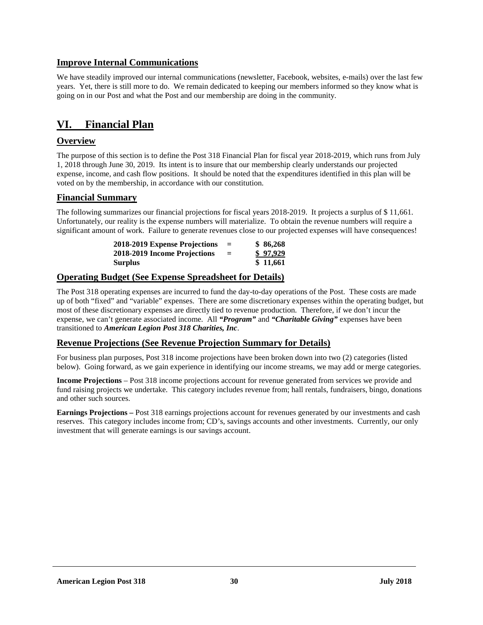## **Improve Internal Communications**

We have steadily improved our internal communications (newsletter, Facebook, websites, e-mails) over the last few years. Yet, there is still more to do. We remain dedicated to keeping our members informed so they know what is going on in our Post and what the Post and our membership are doing in the community.

## **VI. Financial Plan**

## **Overview**

The purpose of this section is to define the Post 318 Financial Plan for fiscal year 2018-2019, which runs from July 1, 2018 through June 30, 2019. Its intent is to insure that our membership clearly understands our projected expense, income, and cash flow positions. It should be noted that the expenditures identified in this plan will be voted on by the membership, in accordance with our constitution.

## **Financial Summary**

The following summarizes our financial projections for fiscal years 2018-2019. It projects a surplus of \$ 11,661. Unfortunately, our reality is the expense numbers will materialize. To obtain the revenue numbers will require a significant amount of work. Failure to generate revenues close to our projected expenses will have consequences!

| 2018-2019 Expense Projections | $=$ | \$86,268 |
|-------------------------------|-----|----------|
| 2018-2019 Income Projections  | $=$ | \$97,929 |
| <b>Surplus</b>                |     | \$11,661 |

## **Operating Budget (See Expense Spreadsheet for Details)**

The Post 318 operating expenses are incurred to fund the day-to-day operations of the Post. These costs are made up of both "fixed" and "variable" expenses. There are some discretionary expenses within the operating budget, but most of these discretionary expenses are directly tied to revenue production. Therefore, if we don't incur the expense, we can't generate associated income. All *"Program"* and *"Charitable Giving"* expenses have been transitioned to *American Legion Post 318 Charities, Inc*.

## **Revenue Projections (See Revenue Projection Summary for Details)**

For business plan purposes, Post 318 income projections have been broken down into two (2) categories (listed below). Going forward, as we gain experience in identifying our income streams, we may add or merge categories.

**Income Projections** – Post 318 income projections account for revenue generated from services we provide and fund raising projects we undertake. This category includes revenue from; hall rentals, fundraisers, bingo, donations and other such sources.

**Earnings Projections –** Post 318 earnings projections account for revenues generated by our investments and cash reserves. This category includes income from; CD's, savings accounts and other investments. Currently, our only investment that will generate earnings is our savings account.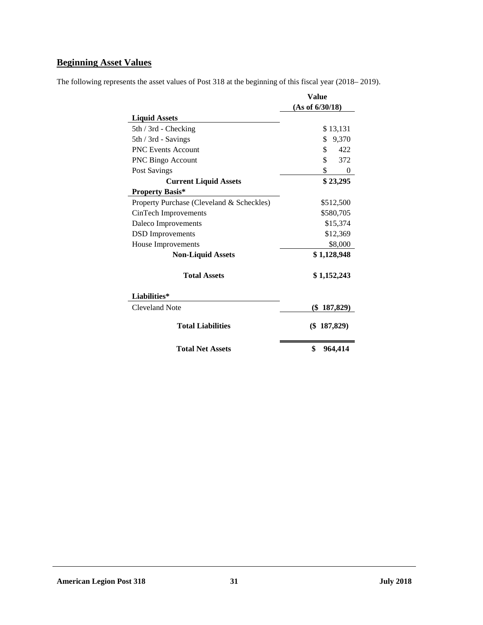## **Beginning Asset Values**

The following represents the asset values of Post 318 at the beginning of this fiscal year (2018– 2019).

|                                           | <b>Value</b>    |  |  |
|-------------------------------------------|-----------------|--|--|
|                                           | (As of 6/30/18) |  |  |
| <b>Liquid Assets</b>                      |                 |  |  |
| 5th / 3rd - Checking                      | \$13,131        |  |  |
| 5th / 3rd - Savings                       | 9,370<br>\$     |  |  |
| <b>PNC Events Account</b>                 | \$<br>422       |  |  |
| <b>PNC Bingo Account</b>                  | \$<br>372       |  |  |
| Post Savings                              | \$<br>$\Omega$  |  |  |
| <b>Current Liquid Assets</b>              | \$23,295        |  |  |
| <b>Property Basis*</b>                    |                 |  |  |
| Property Purchase (Cleveland & Scheckles) | \$512,500       |  |  |
| CinTech Improvements<br>\$580,705         |                 |  |  |
| Daleco Improvements                       | \$15,374        |  |  |
| <b>DSD</b> Improvements<br>\$12,369       |                 |  |  |
| House Improvements                        | \$8,000         |  |  |
| <b>Non-Liquid Assets</b>                  | \$1,128,948     |  |  |
| <b>Total Assets</b>                       | \$1,152,243     |  |  |
| Liabilities*                              |                 |  |  |
| Cleveland Note                            | $(\$187,829)$   |  |  |
| <b>Total Liabilities</b>                  | $(\$$ 187,829)  |  |  |
| <b>Total Net Assets</b>                   | \$<br>964,414   |  |  |

## **American Legion Post 318 31 July 2018**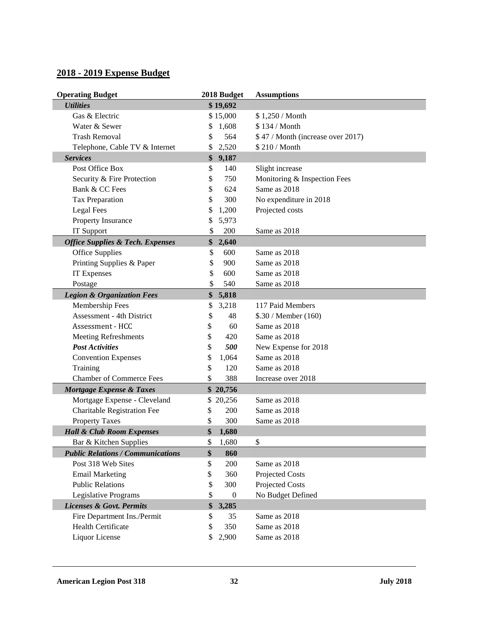## **2018 - 2019 Expense Budget**

| <b>Operating Budget</b>                     |    | 2018 Budget      | <b>Assumptions</b>                |
|---------------------------------------------|----|------------------|-----------------------------------|
| <b>Utilities</b>                            |    | \$19,692         |                                   |
| Gas & Electric                              |    | \$15,000         | \$1,250 / Month                   |
| Water & Sewer                               | \$ | 1,608            | \$134 / Month                     |
| <b>Trash Removal</b>                        | \$ | 564              | \$47 / Month (increase over 2017) |
| Telephone, Cable TV & Internet              | \$ | 2,520            | \$210/Month                       |
| <b>Services</b>                             | \$ | 9,187            |                                   |
| Post Office Box                             | \$ | 140              | Slight increase                   |
| Security & Fire Protection                  | \$ | 750              | Monitoring & Inspection Fees      |
| Bank & CC Fees                              | \$ | 624              | Same as 2018                      |
| Tax Preparation                             | \$ | 300              | No expenditure in 2018            |
| <b>Legal Fees</b>                           | \$ | 1,200            | Projected costs                   |
| Property Insurance                          | \$ | 5,973            |                                   |
| IT Support                                  | \$ | 200              | Same as 2018                      |
| <b>Office Supplies &amp; Tech. Expenses</b> | \$ | 2,640            |                                   |
| <b>Office Supplies</b>                      | \$ | 600              | Same as 2018                      |
| Printing Supplies & Paper                   | \$ | 900              | Same as 2018                      |
| IT Expenses                                 | \$ | 600              | Same as 2018                      |
| Postage                                     | \$ | 540              | Same as 2018                      |
| <b>Legion &amp; Organization Fees</b>       | \$ | 5,818            |                                   |
| Membership Fees                             | \$ | 3,218            | 117 Paid Members                  |
| <b>Assessment - 4th District</b>            | \$ | 48               | \$.30 / Member (160)              |
| Assessment - HCC                            | \$ | 60               | Same as 2018                      |
| <b>Meeting Refreshments</b>                 | \$ | 420              | Same as 2018                      |
| <b>Post Activities</b>                      | \$ | 500              | New Expense for 2018              |
| <b>Convention Expenses</b>                  | \$ | 1,064            | Same as 2018                      |
| Training                                    | \$ | 120              | Same as 2018                      |
| <b>Chamber of Commerce Fees</b>             | \$ | 388              | Increase over 2018                |
| Mortgage Expense & Taxes                    |    | \$20,756         |                                   |
| Mortgage Expense - Cleveland                |    | \$20,256         | Same as 2018                      |
| Charitable Registration Fee                 | \$ | 200              | Same as 2018                      |
| <b>Property Taxes</b>                       | \$ | 300              | Same as 2018                      |
| <b>Hall &amp; Club Room Expenses</b>        | \$ | 1,680            |                                   |
| Bar & Kitchen Supplies                      | \$ | 1,680            | \$                                |
| <b>Public Relations / Communications</b>    | \$ | 860              |                                   |
| Post 318 Web Sites                          | \$ | 200              | Same as 2018                      |
| <b>Email Marketing</b>                      | \$ | 360              | Projected Costs                   |
| <b>Public Relations</b>                     | \$ | 300              | Projected Costs                   |
| Legislative Programs                        | \$ | $\boldsymbol{0}$ | No Budget Defined                 |
| <b>Licenses &amp; Govt. Permits</b>         | \$ | 3,285            |                                   |
| Fire Department Ins./Permit                 | \$ | 35               | Same as 2018                      |
| Health Certificate                          | \$ | 350              | Same as 2018                      |
| Liquor License                              | \$ | 2,900            | Same as 2018                      |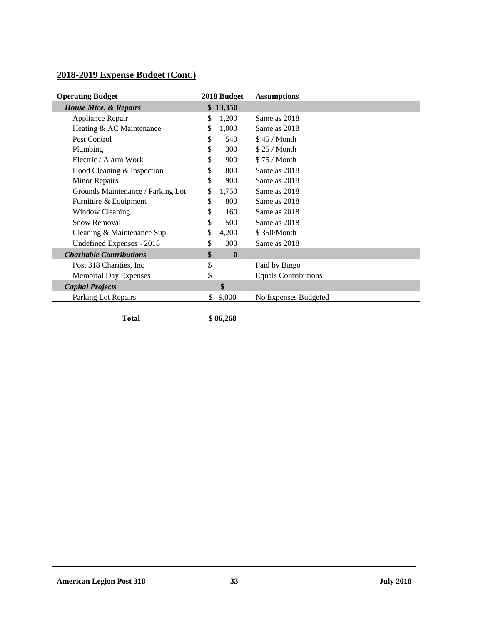## **2018-2019 Expense Budget (Cont.)**

| <b>Operating Budget</b>           |    | 2018 Budget  | <b>Assumptions</b>          |
|-----------------------------------|----|--------------|-----------------------------|
| <b>House Mtce. &amp; Repairs</b>  |    | \$13,350     |                             |
| Appliance Repair                  | \$ | 1,200        | Same as 2018                |
| Heating & AC Maintenance          | \$ | 1,000        | Same as 2018                |
| Pest Control                      | \$ | 540          | \$45/Month                  |
| Plumbing                          | \$ | 300          | \$25/Month                  |
| Electric / Alarm Work             | \$ | 900          | \$75/Month                  |
| Hood Cleaning & Inspection        | \$ | 800          | Same as 2018                |
| Minor Repairs                     | \$ | 900          | Same as 2018                |
| Grounds Maintenance / Parking Lot | \$ | 1,750        | Same as 2018                |
| Furniture & Equipment             | \$ | 800          | Same as 2018                |
| <b>Window Cleaning</b>            | \$ | 160          | Same as 2018                |
| Snow Removal                      | \$ | 500          | Same as 2018                |
| Cleaning & Maintenance Sup.       | \$ | 4,200        | \$350/Month                 |
| Undefined Expenses - 2018         | \$ | 300          | Same as 2018                |
| <b>Charitable Contributions</b>   | \$ | $\mathbf{0}$ |                             |
| Post 318 Charities, Inc.          | \$ |              | Paid by Bingo               |
| <b>Memorial Day Expenses</b>      | \$ |              | <b>Equals Contributions</b> |
| <b>Capital Projects</b>           |    | \$           |                             |
| Parking Lot Repairs               | \$ | 9,000        | No Expenses Budgeted        |
|                                   |    |              |                             |

**Total \$ 86,268**